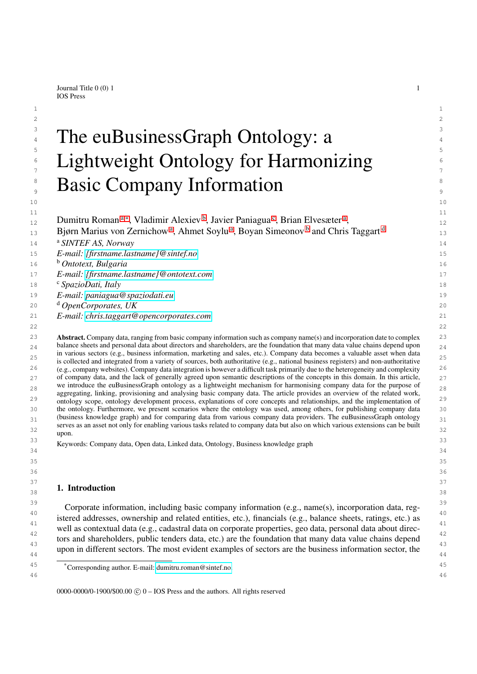Journal Title  $0(0)$  1 1 IOS Press

# $\frac{3}{2}$  and  $\mathbf{D}$  is  $\mathbf{A}$  if  $\mathbf{A}$  is  $\mathbf{A}$  is  $\mathbf{A}$  is  $\mathbf{A}$  is  $\mathbf{A}$  is  $\mathbf{A}$  is  $\mathbf{A}$  is  $\mathbf{A}$  is  $\mathbf{A}$  is  $\mathbf{A}$  is  $\mathbf{A}$  is  $\mathbf{A}$  is  $\mathbf{A}$  is  $\mathbf{A}$  is  $\mathbf{A}$  is  $\math$ <sup>4</sup> The euBusinessGraph Ontology: a  $\overline{5}$  5  $\epsilon = 1$  10 http://early.info.logy.for Harmonizing  $\epsilon = 0$  $\int_{7}^{\epsilon}$  Lightweight Ontology for Harmonizing  $\frac{8}{3}$  Desig Company Information **Basic Company Information**

 $1$  $2 \times 2$ 

 $10$  and  $10$  and  $10$  and  $10$  and  $10$  and  $10$ 

<span id="page-0-4"></span><span id="page-0-3"></span><span id="page-0-2"></span><span id="page-0-0"></span>

| 11 |                                                                                                                                                                                                                                                              | 11             |
|----|--------------------------------------------------------------------------------------------------------------------------------------------------------------------------------------------------------------------------------------------------------------|----------------|
| 12 | Dumitru Roman <sup>a,*</sup> , Vladimir Alexiev <sup>b</sup> , Javier Paniagua <sup>c</sup> , Brian Elvesæter <sup>a</sup> ,                                                                                                                                 | 12             |
| 13 | Bjørn Marius von Zernichow <sup>a</sup> , Ahmet Soylu <sup>a</sup> , Boyan Simeonov <sup>b</sup> and Chris Taggart <sup>d</sup>                                                                                                                              | 13             |
| 14 | <sup>a</sup> SINTEF AS, Norway                                                                                                                                                                                                                               | 14             |
| 15 | E-mail: {firstname.lastname}@sintef.no                                                                                                                                                                                                                       | 15             |
| 16 | <sup>b</sup> Ontotext, Bulgaria                                                                                                                                                                                                                              | 16             |
| 17 | E-mail: {firstname.lastname}@ontotext.com                                                                                                                                                                                                                    | 17             |
| 18 | <sup>c</sup> SpazioDati, Italy                                                                                                                                                                                                                               | 18             |
| 19 | E-mail: paniagua@spaziodati.eu                                                                                                                                                                                                                               | 1 <sup>°</sup> |
| 20 | <sup>d</sup> OpenCorporates, UK                                                                                                                                                                                                                              | 2C             |
| 21 | E-mail: chris.taggart@opencorporates.com                                                                                                                                                                                                                     | 21             |
| 22 |                                                                                                                                                                                                                                                              | 22             |
| 23 | <b>Abstract.</b> Company data, ranging from basic company information such as company name(s) and incorporation date to complex                                                                                                                              | 23             |
| 24 | balance sheets and personal data about directors and shareholders, are the foundation that many data value chains depend upon<br>in various sectors (e.g., business information, marketing and sales, etc.). Company data becomes a valuable asset when data |                |
| 25 | is collected and integrated from a variety of sources, both authoritative (e.g., national business registers) and non-authoritative                                                                                                                          | 25             |
| 26 | (e.g., company websites). Company data integration is however a difficult task primarily due to the heterogeneity and complexity                                                                                                                             | 26             |
| 27 | of company data, and the lack of generally agreed upon semantic descriptions of the concepts in this domain. In this article,                                                                                                                                | 27             |
| 28 | we introduce the euBusinessGraph ontology as a lightweight mechanism for harmonising company data for the purpose of<br>aggregating, linking, provisioning and analysing basic company data. The article provides an overview of the related work,           | 28             |
| 29 | ontology scope, ontology development process, explanations of core concepts and relationships, and the implementation of                                                                                                                                     | 2 <sup>c</sup> |
| 30 | the ontology. Furthermore, we present scenarios where the ontology was used, among others, for publishing company data                                                                                                                                       | 3C             |
| 31 | (business knowledge graph) and for comparing data from various company data providers. The euBusinessGraph ontology<br>serves as an asset not only for enabling various tasks related to company data but also on which various extensions can be built      | 31             |
| 32 | upon.                                                                                                                                                                                                                                                        | 32             |
| 33 | Keywords: Company data, Open data, Linked data, Ontology, Business knowledge graph                                                                                                                                                                           | 33             |
| 34 |                                                                                                                                                                                                                                                              | 34             |
| 35 |                                                                                                                                                                                                                                                              | 35             |
| 36 |                                                                                                                                                                                                                                                              | 36             |
| 37 | 1. Introduction                                                                                                                                                                                                                                              | 37             |
| 38 |                                                                                                                                                                                                                                                              | 38             |
| 39 | Corporate information including basic company information (e.g. name(s) incorporation data reg                                                                                                                                                               | 3 S            |

Corporate information, including basic company information (e.g., name(s), incorporation data, reg-<br> $\frac{40}{40}$ <sup>41</sup><br>well as contextual data (e.g., cadastral data on corporate properties, geo data, personal data about direc- $\frac{42}{12}$  tors and shareholders, public tenders data, etc.) are the foundation that many data value chains depend 43 and the contract of the contract of the contract of the contract of the contract of the contract of the contract of the contract of the contract of the contract of the contract of the contract of the contract of the con upon in different sectors. The most evident examples of sectors are the business information sector, the istered addresses, ownership and related entities, etc.), financials (e.g., balance sheets, ratings, etc.) as

<span id="page-0-1"></span>0000-0000/0-1900/\$00.00  $\odot$  0 – IOS Press and the authors. All rights reserved

<sup>45</sup> 45 \*Corresponding author. E-mail: [dumitru.roman@sintef.no.](mailto:dumitru.roman@sintef.no) 46 46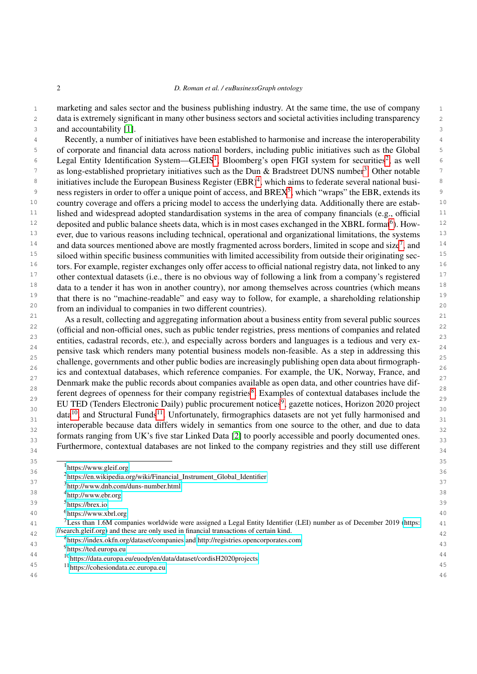1 marketing and sales sector and the business publishing industry. At the same time, the use of company 1 2 2 data is extremely significant in many other business sectors and societal activities including transparency 3 3 and accountability [\[1\]](#page-31-0).

4 4 Recently, a number of initiatives have been established to harmonise and increase the interoperability 5 5 of corporate and financial data across national borders, including public initiatives such as the Global  $6$  Legal Entity Identification System—GLEIS<sup>[1](#page-1-0)</sup>, Bloomberg's open FIGI system for securities<sup>[2](#page-1-1)</sup>, as well  $6$ 7 as long-established proprietary initiatives such as the Dun & Bradstreet DUNS number<sup>[3](#page-1-2)</sup>. Other notable <sup>7</sup> <sup>8</sup> initiatives include the European Business Register (EBR)<sup>[4](#page-1-3)</sup>, which aims to federate several national busi-<sup>8</sup> <sup>9</sup> ness registers in order to offer a unique point of access, and BREX<sup>[5](#page-1-4)</sup>, which "wraps" the EBR, extends its <sup>10</sup> country coverage and offers a pricing model to access the underlying data. Additionally there are estab-<sup>10</sup> <sup>11</sup> lished and widespread adopted standardisation systems in the area of company financials (e.g., official <sup>11</sup> <sup>12</sup> deposited and public balance sheets data, which is in most cases exchanged in the XBRL format<sup>[6](#page-1-5)</sup>). How-<sup>12</sup> <sup>13</sup> ever, due to various reasons including technical, operational and organizational limitations, the systems<sup>13</sup> <sup>14</sup> and data sources mentioned above are mostly fragmented across borders, limited in scope and size<sup>[7](#page-1-6)</sup>, and <sup>14</sup> <sup>15</sup> siloed within specific business communities with limited accessibility from outside their originating sec-<br><sup>15</sup>  $16$  tors. For example, register exchanges only offer access to official national registry data, not linked to any  $16$ <sup>17</sup> other contextual datasets (i.e., there is no obvious way of following a link from a company's registered<sup>17</sup>  $18$  data to a tender it has won in another country), nor among themselves across countries (which means  $18$ <sup>19</sup> that there is no "machine-readable" and easy way to follow, for example, a shareholding relationship<sup>19</sup>  $20$  from an individual to companies in two different countries).

<sup>21</sup> As a result, collecting and aggregating information about a business entity from several public sources<sup>21</sup> <sup>22</sup> (official and non-official ones, such as public tender registries, press mentions of companies and related<sup>22</sup> <sup>23</sup> entities, cadastral records, etc.), and especially across borders and languages is a tedious and very ex-<sup>24</sup> pensive task which renders many potential business models non-feasible. As a step in addressing this  $\frac{24}{\sqrt{2}}$ <sup>25</sup> challenge, governments and other public bodies are increasingly publishing open data about firmograph- $\frac{26}{25}$  ics and contextual databases, which reference companies. For example, the UK, Norway, France, and  $27$  Denmark make the public records about companies available as open data, and other countries have dif- $28$  $28$  ferent degrees of openness for their company registries<sup>8</sup>. Examples of contextual databases include the  $\frac{29}{20}$  $\frac{29}{20}$  $\frac{29}{20}$  EU TED (Tenders Electronic Daily) public procurement notices<sup>9</sup>, gazette notices, Horizon 2020 project  $\frac{30}{\text{data}^{10}}$  $\frac{30}{\text{data}^{10}}$  $\frac{30}{\text{data}^{10}}$  and Structural Funds<sup>[11](#page-1-10)</sup>. Unfortunately, firmographics datasets are not yet fully harmonised and 31 and statement of the construction, innegatives datasets are not jointain nations of the 31 interoperable because data differs widely in semantics from one source to the other, and due to data  $\frac{32}{32}$ formats ranging from UK's five star Linked Data [\[2\]](#page-31-1) to poorly accessible and poorly documented ones.  $\frac{33}{3}$ Furthermore, contextual databases are not linked to the company registries and they still use different  $\frac{34}{34}$ 

 $\overline{\phantom{a}}$  35  $\overline{\phantom{a}}$  35  $\frac{100}{26}$  36  $\frac{100}{26}$  36  $\frac{100}{26}$  36  $\frac{100}{26}$  36  $\frac{100}{26}$  36  $\frac{100}{26}$  36 1 <https://www.gleif.org>

<span id="page-1-4"></span><span id="page-1-3"></span><span id="page-1-2"></span><span id="page-1-1"></span><span id="page-1-0"></span><sup>&</sup>lt;sup>2</sup>[https://en.wikipedia.org/wiki/Financial\\_Instrument\\_Global\\_Identifier](https://en.wikipedia.org/wiki/Financial_Instrument_Global_Identifier)

 $\frac{37}{31}$   $\frac{11}{31}$   $\frac{11}{31}$   $\frac{11}{31}$   $\frac{11}{31}$   $\frac{11}{31}$   $\frac{11}{31}$   $\frac{11}{31}$   $\frac{11}{31}$   $\frac{11}{31}$   $\frac{11}{31}$   $\frac{11}{31}$   $\frac{11}{31}$   $\frac{11}{31}$   $\frac{11}{31}$   $\frac{11}{31}$   $\frac{11}{31}$   $\frac{11}{31}$   $\frac{1$ 3 <http://www.dnb.com/duns-number.html>

<sup>&</sup>lt;sup>38</sup> <sup>4</sup><http://www.ebr.org> <sup>38</sup>

<sup>39</sup> 39 5 <https://brex.io>

<span id="page-1-5"></span><sup>40</sup> 40 6 <https://www.xbrl.org>

<span id="page-1-6"></span> $11$  <sup>7</sup> Less than 1.6M companies worldwide were assigned a Legal Entity Identifier (LEI) number as of December 2019 [\(https:](https://search.gleif.org)  $41$ 42 42 [//search.gleif.org\)](https://search.gleif.org) and these are only used in financial transactions of certain kind.

<sup>&</sup>lt;sup>42</sup> <sup>8</sup><https://index.okfn.org/dataset/companies> and<http://registries.opencorporates.com> <sup>43</sup>

<span id="page-1-10"></span><span id="page-1-9"></span><span id="page-1-8"></span><span id="page-1-7"></span><sup>&</sup>lt;sup>9</sup><https://ted.europa.eu>

<sup>44</sup> 44 <sup>10</sup><https://data.europa.eu/euodp/en/data/dataset/cordisH2020projects>

<sup>45</sup> 45 <sup>11</sup><https://cohesiondata.ec.europa.eu>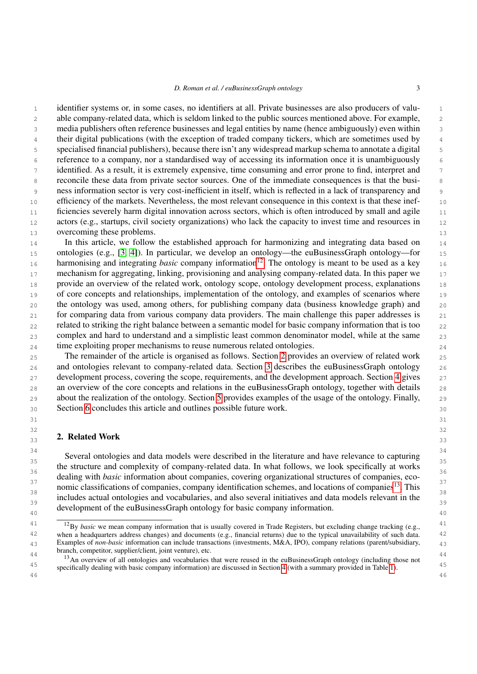1 1 identifier systems or, in some cases, no identifiers at all. Private businesses are also producers of valu-2 2 able company-related data, which is seldom linked to the public sources mentioned above. For example, 3 3 media publishers often reference businesses and legal entities by name (hence ambiguously) even within <sup>4</sup> their digital publications (with the exception of traded company tickers, which are sometimes used by <sup>4</sup> 5 5 specialised financial publishers), because there isn't any widespread markup schema to annotate a digital 6 6 reference to a company, nor a standardised way of accessing its information once it is unambiguously 7 identified. As a result, it is extremely expensive, time consuming and error prone to find, interpret and 7 8 8 reconcile these data from private sector sources. One of the immediate consequences is that the busi-9 9 ness information sector is very cost-inefficient in itself, which is reflected in a lack of transparency and 10 efficiency of the markets. Nevertheless, the most relevant consequence in this context is that these inef-<br>10 11 ficiencies severely harm digital innovation across sectors, which is often introduced by small and agile 11 12 actors (e.g., startups, civil society organizations) who lack the capacity to invest time and resources in 12 13 overcoming these problems. 13

14 In this article, we follow the established approach for harmonizing and integrating data based on 14 15 ontologies (e.g., [\[3,](#page-31-2) [4\]](#page-31-3)). In particular, we develop an ontology—the euBusinessGraph ontology—for 15 16 harmonising and integrating *basic* company information<sup>[12](#page-2-0)</sup>. The ontology is meant to be used as a key 16 17 mechanism for aggregating, linking, provisioning and analysing company-related data. In this paper we 17 18 provide an overview of the related work, ontology scope, ontology development process, explanations 18 19 of core concepts and relationships, implementation of the ontology, and examples of scenarios where 19 20 20 the ontology was used, among others, for publishing company data (business knowledge graph) and 21 for comparing data from various company data providers. The main challenge this paper addresses is 21 22 related to striking the right balance between a semantic model for basic company information that is too 22 23 23 complex and hard to understand and a simplistic least common denominator model, while at the same 24 24 time exploiting proper mechanisms to reuse numerous related ontologies.

25 25 The remainder of the article is organised as follows. Section [2](#page-2-1) provides an overview of related work 26 and ontologies relevant to company-related data. Section [3](#page-6-0) describes the euBusinessGraph ontology 26 27 development process, covering the scope, requirements, and the development approach. Section [4](#page-11-0) gives 27 28 an overview of the core concepts and relations in the euBusinessGraph ontology, together with details 28 29 29 about the realization of the ontology. Section [5](#page-26-0) provides examples of the usage of the ontology. Finally, 30 30 Section [6](#page-30-0) concludes this article and outlines possible future work.

 $31$   $31$ 

#### <span id="page-2-1"></span> $32$   $32$  $\frac{23}{33}$  2. Netated WOTN  $\frac{33}{33}$ 2. Related Work

34 34 Several ontologies and data models were described in the literature and have relevance to capturing  $\frac{35}{35}$ <sup>36</sup> dealing with *basic* information about companies, covering organizational structures of companies, eco-<br><sup>37</sup> 37 County was own information about companies, covering organizational or actually of companies of  $37$ nomic classifications of companies, company identification schemes, and locations of companies<sup>[13](#page-2-2)</sup>. This  $\frac{38}{38}$  $\frac{39}{39}$  includes actual ontologies and vocabularies, and also several initiatives and data models relevant in the development of the euBusinessGraph ontology for basic company information. the structure and complexity of company-related data. In what follows, we look specifically at works

<span id="page-2-0"></span><sup>&</sup>lt;sup>41</sup> <sup>12</sup>By *basic* we mean company information that is usually covered in Trade Registers, but excluding change tracking (e.g., <sup>41</sup> 42 42 when a headquarters address changes) and documents (e.g., financial returns) due to the typical unavailability of such data. 43 43 Examples of *non-basic* information can include transactions (investments, M&A, IPO), company relations (parent/subsidiary, branch, competitor, supplier/client, joint venture), etc.

<span id="page-2-2"></span> $\frac{44}{13}$  and  $\frac{44}{13}$  branch, competitor, supprictiventit, joint venture), etc. Absorptive and the contract with the company information) are discussed in Section [4](#page-11-0) (with a summary provided in Table [1\)](#page-13-0). 46 46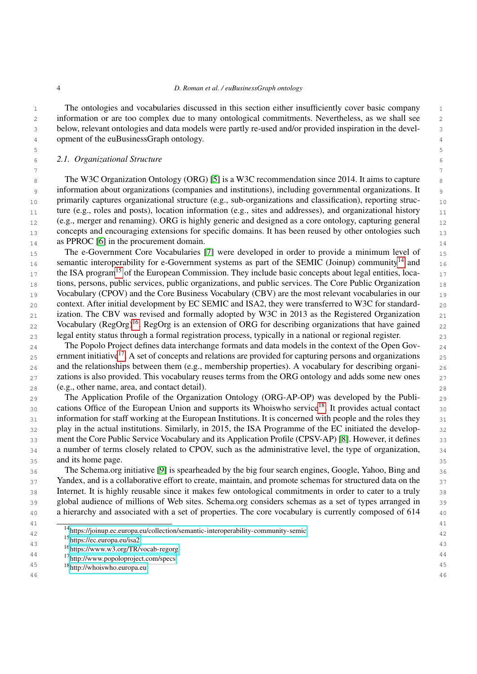5 5

7 7

 1 The ontologies and vocabularies discussed in this section either insufficiently cover basic company 2 information or are too complex due to many ontological commitments. Nevertheless, as we shall see 2 3 below, relevant ontologies and data models were partly re-used and/or provided inspiration in the devel-4 opment of the euBusinessGraph ontology.

## 6 6 *2.1. Organizational Structure*

8 The W3C Organization Ontology (ORG) [\[5\]](#page-31-4) is a W3C recommendation since 2014. It aims to capture 9 9 information about organizations (companies and institutions), including governmental organizations. It 10 primarily captures organizational structure (e.g., sub-organizations and classification), reporting struc- $_{11}$  ture (e.g., roles and posts), location information (e.g., sites and addresses), and organizational history  $_{11}$  $_{12}$  (e.g., merger and renaming). ORG is highly generic and designed as a core ontology, capturing general  $_{12}$ <sub>13</sub> concepts and encouraging extensions for specific domains. It has been reused by other ontologies such <sub>13</sub> 14 **as PPROC** [\[6\]](#page-31-5) in the procurement domain.

15 15 The e-Government Core Vocabularies [\[7\]](#page-31-6) were developed in order to provide a minimum level of 16 semantic interoperability for e-Government systems as part of the SEMIC (Joinup) community<sup>[14](#page-3-0)</sup> and 16  $_{17}$  the ISA program<sup>[15](#page-3-1)</sup> of the European Commission. They include basic concepts about legal entities, loca-18 tions, persons, public services, public organizations, and public services. The Core Public Organization 18 19 Vocabulary (CPOV) and the Core Business Vocabulary (CBV) are the most relevant vocabularies in our 19  $_{20}$  context. After initial development by EC SEMIC and ISA2, they were transferred to W3C for standard- $_{21}$  ization. The CBV was revised and formally adopted by W3C in 2013 as the Registered Organization  $_{21}$  $_{22}$  Vocabulary (RegOrg)<sup>[16](#page-3-2)</sup>. RegOrg is an extension of ORG for describing organizations that have gained  $_{22}$ 23 23 legal entity status through a formal registration process, typically in a national or regional register.

24 The Popolo Project defines data interchange formats and data models in the context of the Open Gov- $_{25}$  ernment initiative<sup>[17](#page-3-3)</sup>. A set of concepts and relations are provided for capturing persons and organizations  $_{25}$ <sub>26</sub> and the relationships between them (e.g., membership properties). A vocabulary for describing organi-27 zations is also provided. This vocabulary reuses terms from the ORG ontology and adds some new ones 27 28 28 (e.g., other name, area, and contact detail).

29 29 The Application Profile of the Organization Ontology (ORG-AP-OP) was developed by the Publi-30 cations Office of the European Union and supports its Whoiswho service<sup>[18](#page-3-4)</sup>. It provides actual contact 30 31 information for staff working at the European Institutions. It is concerned with people and the roles they  $\frac{31}{2}$ 32 play in the actual institutions. Similarly, in 2015, the ISA Programme of the EC initiated the develop-<br>32 33 ment the Core Public Service Vocabulary and its Application Profile (CPSV-AP) [\[8\]](#page-31-7). However, it defines 33 34 a number of terms closely related to CPOV, such as the administrative level, the type of organization, 34 35 35 and its home page.

36 The Schema.org initiative [\[9\]](#page-31-8) is spearheaded by the big four search engines, Google, Yahoo, Bing and 36 37 Yandex, and is a collaborative effort to create, maintain, and promote schemas for structured data on the 37 38 Internet. It is highly reusable since it makes few ontological commitments in order to cater to a truly 38 39 global audience of millions of Web sites. Schema.org considers schemas as a set of types arranged in 39 40 a hierarchy and associated with a set of properties. The core vocabulary is currently composed of 614  $_{40}$ 

41 41 <sup>14</sup><https://joinup.ec.europa.eu/collection/semantic-interoperability-community-semic><br><sup>42</sup>

<span id="page-3-2"></span><span id="page-3-1"></span><span id="page-3-0"></span><sup>15</sup><https://ec.europa.eu/isa2>

<span id="page-3-3"></span>44 44 <sup>17</sup><http://www.popoloproject.com/specs>

<sup>43</sup> 43 <sup>16</sup><https://www.w3.org/TR/vocab-regorg>

<span id="page-3-4"></span><sup>45</sup> 45 <sup>18</sup><http://whoiswho.europa.eu>46 46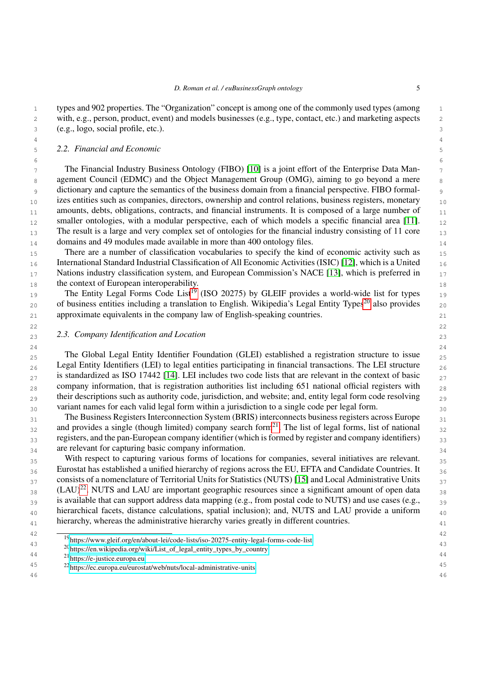4 4

 $6$ 

1 1 types and 902 properties. The "Organization" concept is among one of the commonly used types (among 2 2 with, e.g., person, product, event) and models businesses (e.g., type, contact, etc.) and marketing aspects 3 3 (e.g., logo, social profile, etc.).

## 5 5 *2.2. Financial and Economic*

 $7 \text{ m}$  The Financial Industry Business Ontology (FIBO) [\[10\]](#page-31-9) is a joint effort of the Enterprise Data Man-8 8 8 8 8 agement Council (EDMC) and the Object Management Group (OMG), aiming to go beyond a mere 9 9 dictionary and capture the semantics of the business domain from a financial perspective. FIBO formal-<sub>10</sub> izes entities such as companies, directors, ownership and control relations, business registers, monetary <sub>10</sub> 11 amounts, debts, obligations, contracts, and financial instruments. It is composed of a large number of 11  $_{12}$  smaller ontologies, with a modular perspective, each of which models a specific financial area [\[11\]](#page-31-10).  $_{12}$  $_{13}$  The result is a large and very complex set of ontologies for the financial industry consisting of 11 core  $_{13}$ <sup>14</sup> 14 14 domains and 49 modules made available in more than 400 ontology files.

15 15 There are a number of classification vocabularies to specify the kind of economic activity such as 16 16 International Standard Industrial Classification of All Economic Activities (ISIC) [\[12\]](#page-31-11), which is a United 17 Nations industry classification system, and European Commission's NACE [\[13\]](#page-31-12), which is preferred in 17 18 18 18

19 19 The Entity Legal Forms Code List[19](#page-4-0) (ISO 20275) by GLEIF provides a world-wide list for types [20](#page-4-1) of business entities including a translation to English. Wikipedia's Legal Entity Types<sup>20</sup> also provides 20 21 21 approximate equivalents in the company law of English-speaking countries.

22  $\sim$  22

# 23 23 *2.3. Company Identification and Location*

24 24 25 The Global Legal Entity Identifier Foundation (GLEI) established a registration structure to issue 25  $_{26}$  Legal Entity Identifiers (LEI) to legal entities participating in financial transactions. The LEI structure  $_{26}$  $_{27}$  is standardized as ISO 17442 [\[14\]](#page-31-13). LEI includes two code lists that are relevant in the context of basic  $_{27}$  $_{28}$  company information, that is registration authorities list including 651 national official registers with  $_{28}$  $_{29}$  their descriptions such as authority code, jurisdiction, and website; and, entity legal form code resolving  $_{29}$ 30 variant names for each valid legal form within a jurisdiction to a single code per legal form.

<sup>31</sup> The Business Registers Interconnection System (BRIS) interconnects business registers across Europe<sup>31</sup>  $_{32}$  and provides a single (though limited) company search form<sup>[21](#page-4-2)</sup>. The list of legal forms, list of national  $_{32}$  $_{33}$  registers, and the pan-European company identifier (which is formed by register and company identifiers)  $_{33}$ 34 are relevant for capturing basic company information.

35 35 With respect to capturing various forms of locations for companies, several initiatives are relevant. <sup>36</sup> Eurostat has established a unified hierarchy of regions across the EU, EFTA and Candidate Countries. It  $37$  consists of a nomenclature of Territorial Units for Statistics (NUTS) [\[15\]](#page-31-14) and Local Administrative Units  $37$  $_{38}$  (LAU)<sup>[22](#page-4-3)</sup>. NUTS and LAU are important geographic resources since a significant amount of open data  $_{38}$ <sup>39</sup> is available that can support address data mapping (e.g., from postal code to NUTS) and use cases (e.g., <sup>39</sup>  $_{40}$  hierarchical facets, distance calculations, spatial inclusion); and, NUTS and LAU provide a uniform  $_{40}$ <sup>41</sup> hierarchy, whereas the administrative hierarchy varies greatly in different countries.

46 46

- <span id="page-4-1"></span> $^{43}$   $^{20}$ [https://en.wikipedia.org/wiki/List\\_of\\_legal\\_entity\\_types\\_by\\_country](https://en.wikipedia.org/wiki/List_of_legal_entity_types_by_country)<br>44
- <span id="page-4-2"></span><sup>21</sup><https://e-justice.europa.eu>

<span id="page-4-3"></span>45 45 <sup>22</sup><https://ec.europa.eu/eurostat/web/nuts/local-administrative-units>

 $\frac{42}{10}$   $\frac{42}{10}$ 

<span id="page-4-0"></span> $^{19}$ <https://www.gleif.org/en/about-lei/code-lists/iso-20275-entity-legal-forms-code-list>  $^{43}$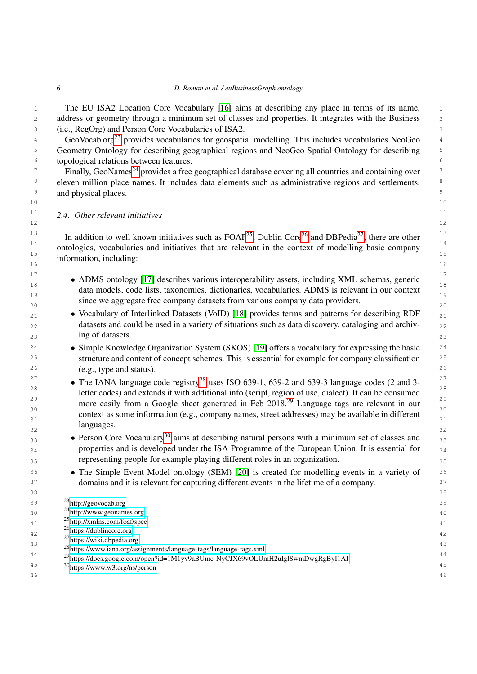1 1 1 1 The EU ISA2 Location Core Vocabulary [\[16\]](#page-31-15) aims at describing any place in terms of its name, 2 2 address or geometry through a minimum set of classes and properties. It integrates with the Business 3 3 (i.e., RegOrg) and Person Core Vocabularies of ISA2.

4 GeoVocab.org<sup>[23](#page-5-0)</sup> provides vocabularies for geospatial modelling. This includes vocabularies NeoGeo<sup>4</sup> <sup>5</sup> Geometry Ontology for describing geographical regions and NeoGeo Spatial Ontology for describing <sup>5</sup> 6 6 topological relations between features.

<sup>7</sup> Finally, GeoNames<sup>[24](#page-5-1)</sup> provides a free geographical database covering all countries and containing over <sup>8</sup> eleven million place names. It includes data elements such as administrative regions and settlements, <sup>8</sup> <sup>9</sup> and physical places.

### <sup>11</sup> 2.4. Other relevant initiatives <sup>11</sup>  $12$  and  $12$  and  $12$  and  $12$  and  $12$  and  $12$  and  $12$  and  $12$  and  $12$

<sup>13</sup> In addition to well known initiatives such as FOAF<sup>[25](#page-5-2)</sup>, Dublin Core<sup>[26](#page-5-3)</sup> and DBPedia<sup>[27](#page-5-4)</sup>, there are other  $14$  and the construction of initiative that are almost in the context of an initial last concerns  $14$ ontologies, vocabularies and initiatives that are relevant in the context of modelling basic company  $\frac{1}{15}$ 16 16 information, including:

 $10$  and  $10$  and  $10$  and  $10$  and  $10$  and  $10$ 

- <sup>17</sup> ADMS ontology [\[17\]](#page-31-16) describes various interoperability assets, including XML schemas, generic 18 18 data models, code lists, taxonomies, dictionaries, vocabularies. ADMS is relevant in our context  $\frac{19}{19}$  $\frac{20}{20}$  since we aggregate free company datasets from various company data providers.
- <sup>21</sup> Vocabulary of Interlinked Datasets (VoID) [\[18\]](#page-31-17) provides terms and patterns for describing RDF <sup>21</sup>  $_{22}$  datasets and could be used in a variety of situations such as data discovery, cataloging and archiv- $23$  and  $23$  and  $23$  and  $23$  and  $23$  and  $23$  and  $23$  and  $23$  and  $23$  and  $23$ ing of datasets.
- <sup>24</sup> Simple Knowledge Organization System (SKOS) [\[19\]](#page-31-18) offers a vocabulary for expressing the basic <sup>24</sup> <sup>25</sup> structure and content of concept schemes. This is essential for example for company classification<sup>25</sup> 26 26 (e.g., type and status).
- $\bullet$  The IANA language code registry<sup>[28](#page-5-5)</sup> uses ISO 639-1, 639-2 and 639-3 language codes (2 and 3-<sup>28</sup> letter codes) and extends it with additional info (script, region of use, dialect). It can be consumed <sup>[29](#page-5-6)</sup> more easily from a Google sheet generated in Feb 2018.<sup>29</sup> Language tags are relevant in our  $\frac{30}{20}$   $\frac{30}{20}$   $\frac{30}{20}$   $\frac{30}{20}$   $\frac{30}{20}$   $\frac{30}{20}$   $\frac{30}{20}$   $\frac{30}{20}$   $\frac{30}{20}$   $\frac{30}{20}$   $\frac{30}{20}$   $\frac{30}{20}$   $\frac{30}{20}$   $\frac{30}{20}$   $\frac{30}{20}$   $\frac{30}{20}$   $\frac{30}{20}$   $\frac{30}{20}$   $\frac{3$ context as some information (e.g., company names, street addresses) may be available in different  $\frac{31}{31}$  $\frac{32}{32}$  32 languages.
- **Person Core Vocabulary**<sup>[30](#page-5-7)</sup> aims at describing natural persons with a minimum set of classes and  $\frac{33}{2}$ 34 properties and is developed under the ISA Programme of the European Union. It is essential for  $_{34}$ 35 35 representing people for example playing different roles in an organization.
- <sup>36</sup> The Simple Event Model ontology (SEM) [\[20\]](#page-32-0) is created for modelling events in a variety of <sup>36</sup> <sup>37</sup> domains and it is relevant for capturing different events in the lifetime of a company.<sup>37</sup>

<span id="page-5-0"></span><sup>39</sup> 39 <sup>23</sup><http://geovocab.org>

<span id="page-5-7"></span><span id="page-5-6"></span><span id="page-5-5"></span><span id="page-5-4"></span><span id="page-5-3"></span><span id="page-5-2"></span><span id="page-5-1"></span> $^{24}$ <http://www.geonames.org>  $^{40}$ 41 41 <sup>25</sup><http://xmlns.com/foaf/spec> 42 42 <sup>26</sup><https://dublincore.org> 43<br>
<sup>43</sup> <sup>28</sup><https://www.iana.org/assignments/language-tags/language-tags.xml> 44 44 <sup>29</sup><https://docs.google.com/open?id=1M1yv9aBUmc-NyCJX69vOLUmH2uIglSwmDwgRgByI1AI> 45 45 <sup>30</sup><https://www.w3.org/ns/person>46 46 <sup>27</sup><https://wiki.dbpedia.org>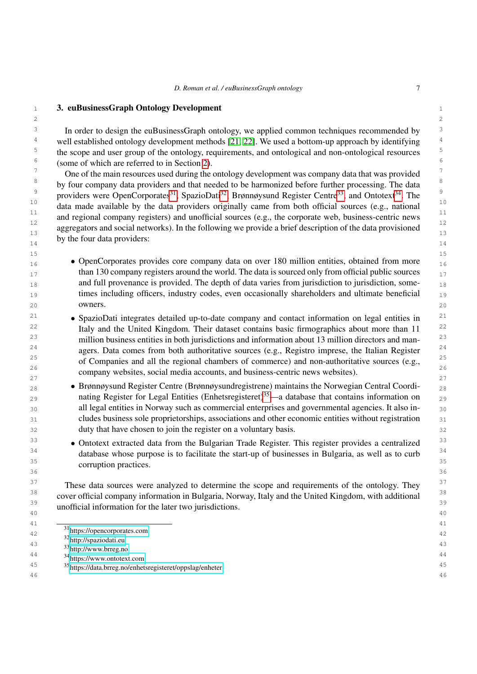# <span id="page-6-0"></span>1 1 3. euBusinessGraph Ontology Development

<sup>3</sup> In order to design the euBusinessGraph ontology, we applied common techniques recommended by <sup>3</sup> <sup>4</sup> well established ontology development methods [\[21,](#page-32-1) [22\]](#page-32-2). We used a bottom-up approach by identifying  $4$ <sup>5</sup> the scope and user group of the ontology, requirements, and ontological and non-ontological resources<sup>5</sup>  $6\,\,\text{6}$  (some of which are referred to in Section [2\)](#page-2-1).

<sup>7</sup> One of the main resources used during the ontology development was company data that was provided  $\frac{7}{100}$ <sup>8</sup> by four company data providers and that needed to be harmonized before further processing. The data <sup>9</sup> providers were OpenCorporates<sup>[31](#page-6-1)</sup>, SpazioDati<sup>[32](#page-6-2)</sup>, Brønnøysund Register Centre<sup>[33](#page-6-3)</sup>, and Ontotext<sup>[34](#page-6-4)</sup>. The  $\frac{10}{\mu}$  data made available by the data providers originally came from both official sources (e.g., national  $\frac{10}{\mu}$  $\frac{11}{12}$  and regional company registers) and unofficial sources (e.g., the corporate web, business-centric news  $\frac{11}{12}$ 12 12 aggregators and social networks). In the following we provide a brief description of the data provisioned  $\frac{13}{13}$  $\frac{14}{14}$  by the four data providers. by the four data providers:

- 15 15 **• OpenCorporates provides core company data on over 180 million entities, obtained from more** than 130 company registers around the world. The data is sourced only from official public sources  $17$ 18 18 and full provenance is provided. The depth of data varies from jurisdiction to jurisdiction, some-19 19 times including officers, industry codes, even occasionally shareholders and ultimate beneficial 20 **OWNETS.** 20 owners.
- <sup>21</sup> SpazioDati integrates detailed up-to-date company and contact information on legal entities in<sup>21</sup> <sup>22</sup> 1taly and the United Kingdom. Their dataset contains basic firmographics about more than 11<sup>22</sup> <sup>23</sup> million business entities in both jurisdictions and information about 13 million directors and man-<sup>23</sup> <sup>24</sup> agers. Data comes from both authoritative sources (e.g., Registro imprese, the Italian Register<sup>24</sup> <sup>25</sup> of Companies and all the regional chambers of commerce) and non-authoritative sources (e.g., <sup>25</sup> 26 and  $\frac{1}{26}$  26 and  $\frac{1}{26}$  26 and  $\frac{1}{26}$  26  $22\degree$  company websites, social media accounts, and business-centric news websites).
- <sup>28</sup> Brønnøysund Register Centre (Brønnøysundregistrene) maintains the Norwegian Central Coordi-29 **nating Register for Legal Entities (Enhetsregisteret)**<sup>[35](#page-6-5)</sup>—a database that contains information on 29 30 all legal entities in Norway such as commercial enterprises and governmental agencies. It also in-31 cludes business sole proprietorships, associations and other economic entities without registration 31 32 32 duty that have chosen to join the register on a voluntary basis.
- <sup>33</sup> Ontotext extracted data from the Bulgarian Trade Register. This register provides a centralized<sup>33</sup> <sup>34</sup> database whose purpose is to facilitate the start-up of businesses in Bulgaria, as well as to curb<sup>34</sup>  $\frac{35}{25}$  communition properties.  $36$   $36$ corruption practices.

<sup>37</sup> These data sources were analyzed to determine the scope and requirements of the ontology. They <sup>37</sup> <sup>38</sup> cover official company information in Bulgaria, Norway, Italy and the United Kingdom, with additional<sup>38</sup> <sup>39</sup> unofficial information for the later two jurisdictions.<sup>39</sup>  $40$   $40$ 

41 — <u>1980</u> — 1990 — 1990 — 1990 — 1990 — 1990 — 1990 — 1990 — 1990 — 1990 — 1990 — 1990 — 1990 — 1990 — 1990 — 1990 — 1990 — 1990 — 1990 — 1990 — 1990 — 1990 — 1990 — 1990 — 1990 — 1990 — 1990 — 1990 — 1990 — 1990 — 1990 42 42 <sup>31</sup><https://opencorporates.com>

44 44 <sup>34</sup><https://www.ontotext.com>

46 46

 $2 \times 2$ 

<span id="page-6-4"></span><span id="page-6-3"></span><span id="page-6-2"></span><span id="page-6-1"></span><sup>32</sup><http://spaziodati.eu>

 $\frac{1}{3}$   $\frac{1}{3}$   $\frac{1}{4}$   $\frac{1}{3}$   $\frac{1}{4}$   $\frac{1}{3}$   $\frac{1}{4}$   $\frac{1}{3}$   $\frac{1}{4}$   $\frac{1}{3}$   $\frac{1}{5}$   $\frac{1}{1}$   $\frac{1}{2}$   $\frac{1}{3}$   $\frac{1}{5}$   $\frac{1}{1}$   $\frac{1}{2}$   $\frac{1}{2}$   $\frac{1}{2}$   $\frac{1}{2}$   $\frac{1}{2}$   $\frac{1}{2}$  <sup>33</sup><http://www.brreg.no>

<span id="page-6-5"></span><sup>45</sup> 45 <sup>35</sup><https://data.brreg.no/enhetsregisteret/oppslag/enheter>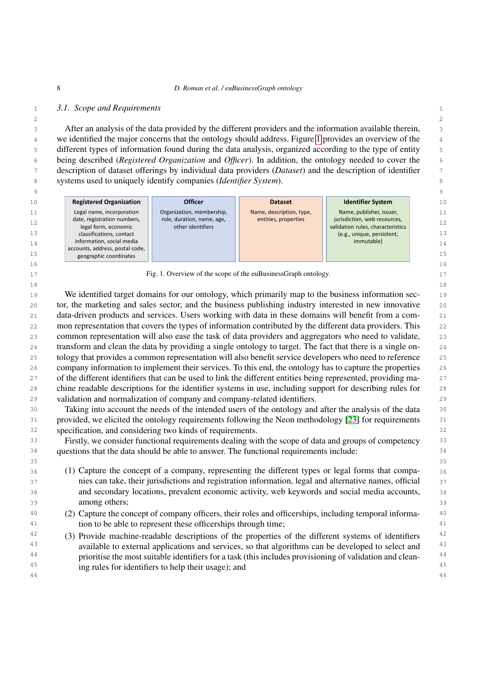## 1 1 *3.1. Scope and Requirements*

 $2 \times 2$  3 After an analysis of the data provided by the different providers and the information available therein, <sup>4</sup> we identified the major concerns that the ontology should address. Figure [1](#page-7-0) provides an overview of the <sup>4</sup> 5 different types of information found during the data analysis, organized according to the type of entity 6 being described (*Registered Organization* and *Officer*). In addition, the ontology needed to cover the 7 description of dataset offerings by individual data providers (*Dataset*) and the description of identifier 8 systems used to uniquely identify companies (*Identifier System*).

|    |                                                           |                                                 |                          |                                                                   | 9  |
|----|-----------------------------------------------------------|-------------------------------------------------|--------------------------|-------------------------------------------------------------------|----|
| 10 | <b>Registered Organization</b>                            | <b>Officer</b>                                  | <b>Dataset</b>           | <b>Identifier System</b>                                          | 10 |
| 11 | Legal name, incorporation                                 | Organization, membership,                       | Name, description, type, | Name, publisher, issuer,                                          | 11 |
| 12 | date, registration numbers,<br>legal form, economic       | role, duration, name, age,<br>other identifiers | entities, properties     | jurisdiction, web resources,<br>validation rules, characteristics | 12 |
| 13 | classifications, contact                                  |                                                 |                          | (e.g., unique, persistent,                                        | 13 |
| 14 | information, social media                                 |                                                 |                          | immutable)                                                        | 14 |
| 15 | accounts, address, postal code,<br>geographic coordinates |                                                 |                          |                                                                   | 15 |
| 16 |                                                           |                                                 |                          |                                                                   | 16 |

<span id="page-7-0"></span>17 **Fig. 1. Overview of the scope of the euBusinessGraph ontology.** 17  $18$  18

19 We identified target domains for our ontology, which primarily map to the business information sec-<br>19 20 tor, the marketing and sales sector, and the business publishing industry interested in new innovative 21 data-driven products and services. Users working with data in these domains will benefit from a com-22 mon representation that covers the types of information contributed by the different data providers. This 22 23 common representation will also ease the task of data providers and aggregators who need to validate, 24 transform and clean the data by providing a single ontology to target. The fact that there is a single on- 25 tology that provides a common representation will also benefit service developers who need to reference 26 company information to implement their services. To this end, the ontology has to capture the properties 27 of the different identifiers that can be used to link the different entities being represented, providing ma- 28 chine readable descriptions for the identifier systems in use, including support for describing rules for 29 validation and normalization of company and company-related identifiers.

30 30 Taking into account the needs of the intended users of the ontology and after the analysis of the data 31 provided, we elicited the ontology requirements following the Neon methodology [\[23\]](#page-32-3) for requirements 31 32 32 specification, and considering two kinds of requirements.

<sup>33</sup> Firstly, we consider functional requirements dealing with the scope of data and groups of competency <sup>33</sup> <sup>34</sup> questions that the data should be able to answer. The functional requirements include:

 36 (1) Capture the concept of a company, representing the different types or legal forms that compa- 37 nies can take, their jurisdictions and registration information, legal and alternative names, official 38 and secondary locations, prevalent economic activity, web keywords and social media accounts, 39 among others;

- 40 40 (2) Capture the concept of company officers, their roles and officerships, including temporal informa-<sup>41</sup> tion to be able to represent these officerships through time; <sup>41</sup>
- <sup>42</sup> (3) Provide machine-readable descriptions of the properties of the different systems of identifiers <sup>42</sup> <sup>43</sup> available to external applications and services, so that algorithms can be developed to select and <sup>43</sup> <sup>44</sup> prioritise the most suitable identifiers for a task (this includes provisioning of validation and clean-<sup>44</sup> 45 45 ing rules for identifiers to help their usage); and46 46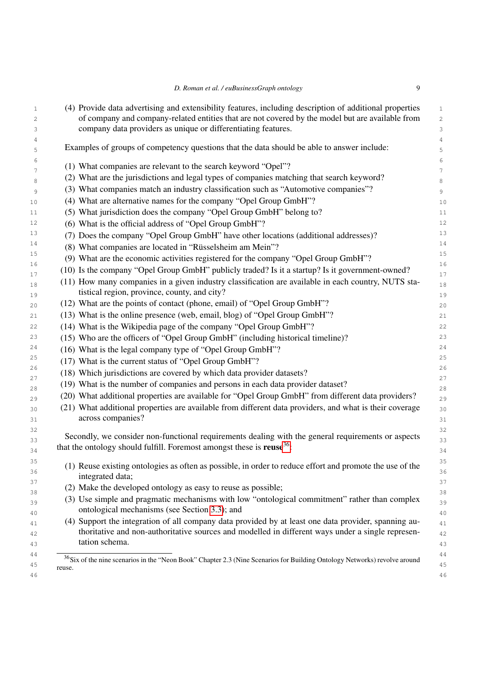<span id="page-8-0"></span>

| (4) Provide data advertising and extensibility features, including description of additional properties                                                                                                                     |
|-----------------------------------------------------------------------------------------------------------------------------------------------------------------------------------------------------------------------------|
| of company and company-related entities that are not covered by the model but are available from                                                                                                                            |
| company data providers as unique or differentiating features.                                                                                                                                                               |
| Examples of groups of competency questions that the data should be able to answer include:                                                                                                                                  |
| (1) What companies are relevant to the search keyword "Opel"?                                                                                                                                                               |
| (2) What are the jurisdictions and legal types of companies matching that search keyword?                                                                                                                                   |
| (3) What companies match an industry classification such as "Automotive companies"?                                                                                                                                         |
| (4) What are alternative names for the company "Opel Group GmbH"?                                                                                                                                                           |
| (5) What jurisdiction does the company "Opel Group GmbH" belong to?                                                                                                                                                         |
| (6) What is the official address of "Opel Group GmbH"?                                                                                                                                                                      |
| (7) Does the company "Opel Group GmbH" have other locations (additional addresses)?                                                                                                                                         |
| (8) What companies are located in "Rüsselsheim am Mein"?                                                                                                                                                                    |
| (9) What are the economic activities registered for the company "Opel Group GmbH"?                                                                                                                                          |
| (10) Is the company "Opel Group GmbH" publicly traded? Is it a startup? Is it government-owned?                                                                                                                             |
| (11) How many companies in a given industry classification are available in each country, NUTS sta-                                                                                                                         |
| tistical region, province, county, and city?                                                                                                                                                                                |
| (12) What are the points of contact (phone, email) of "Opel Group GmbH"?                                                                                                                                                    |
| (13) What is the online presence (web, email, blog) of "Opel Group GmbH"?                                                                                                                                                   |
| (14) What is the Wikipedia page of the company "Opel Group GmbH"?                                                                                                                                                           |
| (15) Who are the officers of "Opel Group GmbH" (including historical timeline)?                                                                                                                                             |
| (16) What is the legal company type of "Opel Group GmbH"?                                                                                                                                                                   |
| (17) What is the current status of "Opel Group GmbH"?                                                                                                                                                                       |
| (18) Which jurisdictions are covered by which data provider datasets?                                                                                                                                                       |
| (19) What is the number of companies and persons in each data provider dataset?                                                                                                                                             |
| (20) What additional properties are available for "Opel Group GmbH" from different data providers?                                                                                                                          |
| (21) What additional properties are available from different data providers, and what is their coverage<br>across companies?                                                                                                |
| Secondly, we consider non-functional requirements dealing with the general requirements or aspects                                                                                                                          |
| that the ontology should fulfill. Foremost amongst these is reuse <sup>36</sup> :                                                                                                                                           |
| (1) Reuse existing ontologies as often as possible, in order to reduce effort and promote the use of the                                                                                                                    |
| integrated data;                                                                                                                                                                                                            |
| (2) Make the developed ontology as easy to reuse as possible;                                                                                                                                                               |
| (3) Use simple and pragmatic mechanisms with low "ontological commitment" rather than complex<br>ontological mechanisms (see Section 3.3); and                                                                              |
| (4) Support the integration of all company data provided by at least one data provider, spanning au-<br>thoritative and non-authoritative sources and modelled in different ways under a single represen-<br>tation schema. |
| <sup>36</sup> Six of the nine scenarios in the "Neon Book" Chapter 2.3 (Nine Scenarios for Building Ontology Networks) revolve around                                                                                       |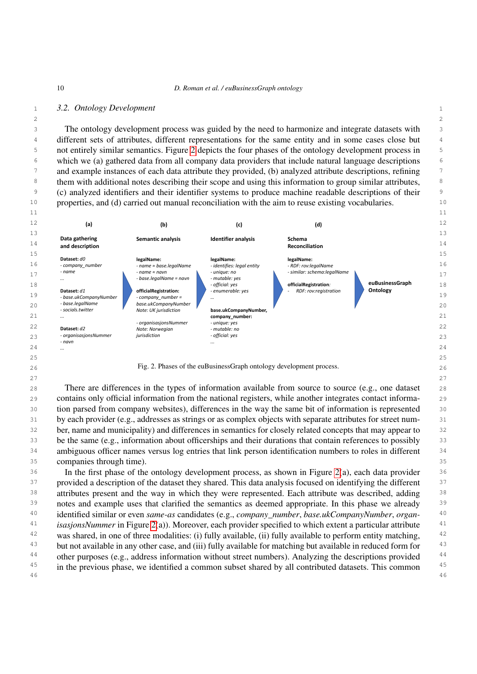$2 \times 2$ 

## 1 1 *3.2. Ontology Development*

3 3 The ontology development process was guided by the need to harmonize and integrate datasets with 4 4 different sets of attributes, different representations for the same entity and in some cases close but 5 5 not entirely similar semantics. Figure [2](#page-9-0) depicts the four phases of the ontology development process in 6 6 which we (a) gathered data from all company data providers that include natural language descriptions <sup>7</sup> and example instances of each data attribute they provided, (b) analyzed attribute descriptions, refining <sup>7</sup> <sup>8</sup> them with additional notes describing their scope and using this information to group similar attributes, <sup>9</sup> (c) analyzed identifiers and their identifier systems to produce machine readable descriptions of their <sup>10</sup> properties, and (d) carried out manual reconciliation with the aim to reuse existing vocabularies. <sup>10</sup>



<span id="page-9-0"></span> 28 There are differences in the types of information available from source to source (e.g., one dataset 29 contains only official information from the national registers, while another integrates contact informa- 30 tion parsed from company websites), differences in the way the same bit of information is represented 31 by each provider (e.g., addresses as strings or as complex objects with separate attributes for street num- 32 ber, name and municipality) and differences in semantics for closely related concepts that may appear to 33 be the same (e.g., information about officerships and their durations that contain references to possibly 33 34 ambiguous officer names versus log entries that link person identification numbers to roles in different <sup>34</sup> 35 companies through time).

<sup>36</sup> In the first phase of the ontology development process, as shown in Figure [2\(](#page-9-0)a), each data provider<sup>36</sup> <sup>37</sup> provided a description of the dataset they shared. This data analysis focused on identifying the different<sup>37</sup> <sup>38</sup> attributes present and the way in which they were represented. Each attribute was described, adding <sup>38</sup> <sup>39</sup> notes and example uses that clarified the semantics as deemed appropriate. In this phase we already <sup>39</sup> 40 40 identified similar or even *same-as* candidates (e.g., *company\_number*, *base.ukCompanyNumber*, *organ-*<sup>41</sup> *isasjonsNummer* in Figure [2\(](#page-9-0)a)). Moreover, each provider specified to which extent a particular attribute<sup>41</sup> <sup>42</sup> was shared, in one of three modalities: (i) fully available, (ii) fully available to perform entity matching, <sup>42</sup> <sup>43</sup> but not available in any other case, and (iii) fully available for matching but available in reduced form for <sup>44</sup> other purposes (e.g., address information without street numbers). Analyzing the descriptions provided <sup>44</sup> <sup>45</sup> in the previous phase, we identified a common subset shared by all contributed datasets. This common <sup>45</sup> 46 46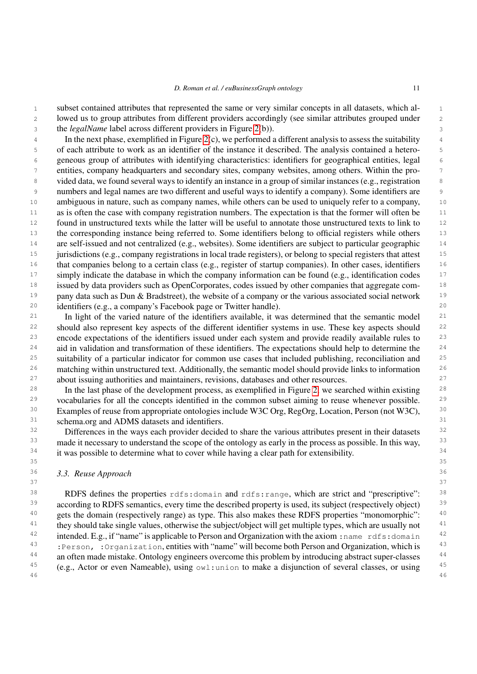1 1 subset contained attributes that represented the same or very similar concepts in all datasets, which al-2 2 lowed us to group attributes from different providers accordingly (see similar attributes grouped under 3 3 the *legalName* label across different providers in Figure [2\(](#page-9-0)b)).

4 4 In the next phase, exemplified in Figure [2\(](#page-9-0)c), we performed a different analysis to assess the suitability 5 5 of each attribute to work as an identifier of the instance it described. The analysis contained a hetero-6 6 geneous group of attributes with identifying characteristics: identifiers for geographical entities, legal 7 7 entities, company headquarters and secondary sites, company websites, among others. Within the pro-8 8 vided data, we found several ways to identify an instance in a group of similar instances (e.g., registration 9 9 numbers and legal names are two different and useful ways to identify a company). Some identifiers are 10 10 ambiguous in nature, such as company names, while others can be used to uniquely refer to a company, 11 as is often the case with company registration numbers. The expectation is that the former will often be 11 <sup>12</sup> found in unstructured texts while the latter will be useful to annotate those unstructured texts to link to <sup>12</sup> 13 the corresponding instance being referred to. Some identifiers belong to official registers while others 13 <sup>14</sup> are self-issued and not centralized (e.g., websites). Some identifiers are subject to particular geographic <sup>14</sup> <sup>15</sup> jurisdictions (e.g., company registrations in local trade registers), or belong to special registers that attest <sup>15</sup> <sup>16</sup> that companies belong to a certain class (e.g., register of startup companies). In other cases, identifiers <sup>16</sup> <sup>17</sup> simply indicate the database in which the company information can be found (e.g., identification codes <sup>17</sup> <sup>18</sup> issued by data providers such as OpenCorporates, codes issued by other companies that aggregate com-<sup>18</sup> <sup>19</sup> pany data such as Dun & Bradstreet), the website of a company or the various associated social network<sup>19</sup> 20 20 identifiers (e.g., a company's Facebook page or Twitter handle).

<sup>21</sup> In light of the varied nature of the identifiers available, it was determined that the semantic model<sup>21</sup> <sup>22</sup> should also represent key aspects of the different identifier systems in use. These key aspects should <sup>22</sup> <sup>23</sup> encode expectations of the identifiers issued under each system and provide readily available rules to <sup>23</sup> <sup>24</sup> aid in validation and transformation of these identifiers. The expectations should help to determine the <sup>24</sup> <sup>25</sup> suitability of a particular indicator for common use cases that included publishing, reconciliation and <sup>25</sup> <sup>26</sup> matching within unstructured text. Additionally, the semantic model should provide links to information<sup>26</sup> <sup>27</sup> about issuing authorities and maintainers, revisions, databases and other resources.<sup>27</sup>

<sup>28</sup> In the last phase of the development process, as exemplified in Figure [2,](#page-9-0) we searched within existing <sup>28</sup> <sup>29</sup> vocabularies for all the concepts identified in the common subset aiming to reuse whenever possible. <sup>29</sup> <sup>30</sup> Examples of reuse from appropriate ontologies include W3C Org, RegOrg, Location, Person (not W3C), <sup>30</sup> 31 31 schema.org and ADMS datasets and identifiers.

<sup>32</sup> Differences in the ways each provider decided to share the various attributes present in their datasets <sup>32</sup> <sup>33</sup> made it necessary to understand the scope of the ontology as early in the process as possible. In this way, <sup>33</sup> <sup>34</sup> it was possible to determine what to cover while having a clear path for extensibility.<sup>34</sup> 35 35

# <span id="page-10-0"></span>36 36 *3.3. Reuse Approach*

38 RDFS defines the properties rdfs: domain and rdfs: range, which are strict and "prescriptive": 38 <sup>39</sup> according to RDFS semantics, every time the described property is used, its subject (respectively object)<sup>39</sup> <sup>40</sup> gets the domain (respectively range) as type. This also makes these RDFS properties "monomorphic": <sup>40</sup> <sup>41</sup> they should take single values, otherwise the subject/object will get multiple types, which are usually not  $41$ <sup>42</sup> intended. E.g., if "name" is applicable to Person and Organization with the axiom : name rdfs: domain<sup>42</sup> <sup>43</sup> : Person, : Organization, entities with "name" will become both Person and Organization, which is <sup>44</sup> an often made mistake. Ontology engineers overcome this problem by introducing abstract super-classes <sup>44</sup> <sup>45</sup> (e.g., Actor or even Nameable), using  $\circ \text{wt:}$  union to make a disjunction of several classes, or using <sup>45</sup> 46 46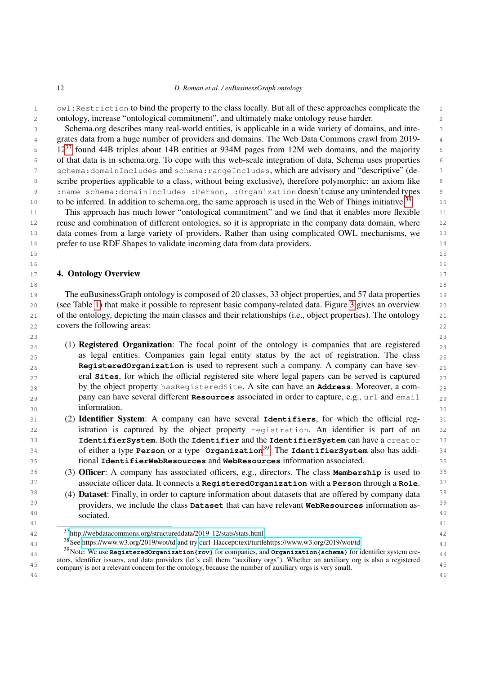1 owl:Restriction to bind the property to the class locally. But all of these approaches complicate the 1 2 2 ontology, increase "ontological commitment", and ultimately make ontology reuse harder.

 3 Schema.org describes many real-world entities, is applicable in a wide variety of domains, and inte- 4 grates data from a huge number of providers and domains. The Web Data Commons crawl from 2019-  $12^{37}$  $12^{37}$  $12^{37}$  found 44B triples about 14B entities at 934M pages from 12M web domains, and the majority  $\frac{12^{37}}{2}$  6 of that data is in schema.org. To cope with this web-scale integration of data, Schema uses properties 7 schema:domainIncludes and schema:rangeIncludes, which are advisory and "descriptive" (de- 8 scribe properties applicable to a class, without being exclusive), therefore polymorphic: an axiom like 9 :name schema:domainIncludes :Person, :Organization doesn't cause any unintended types 10 to be inferred. In addition to schema.org, the same approach is used in the Web of Things initiative.<sup>[38](#page-11-2)</sup> 10

11 This approach has much lower "ontological commitment" and we find that it enables more flexible 11 12 reuse and combination of different ontologies, so it is appropriate in the company data domain, where 12 13 data comes from a large variety of providers. Rather than using complicated OWL mechanisms, we 13 14 14 prefer to use RDF Shapes to validate incoming data from data providers.

15 15  $16$  16

 $18$  18

# <span id="page-11-0"></span>17 **4. Ontology Overview** 17

19 The euBusinessGraph ontology is composed of 20 classes, 33 object properties, and 57 data properties 19 20 20 (see Table [1\)](#page-13-0) that make it possible to represent basic company-related data. Figure [3](#page-12-0) gives an overview 21 21 of the ontology, depicting the main classes and their relationships (i.e., object properties). The ontology 22 covers the following areas: 22

- $23$  23  $_{24}$  (1) **Registered Organization**: The focal point of the ontology is companies that are registered  $_{24}$ <sub>25</sub> as legal entities. Companies gain legal entity status by the act of registration. The class <sub>25</sub> 26 26 **RegisteredOrganization** is used to represent such a company. A company can have sev-27 27 eral **Sites**, for which the official registered site where legal papers can be served is captured 28 28 by the object property hasRegisteredSite. A site can have an **Address**. Moreover, a com-29 29 pany can have several different **Resources** associated in order to capture, e.g., url and email  $30 \hspace{1.5cm}$  information.  $30 \hspace{1.5cm}$  30 information.
- 31 31 (2) Identifier System: A company can have several **Identifiers**, for which the official reg-32 32 istration is captured by the object property registration. An identifier is part of an 33 33 **IdentifierSystem**. Both the **Identifier** and the **IdentifierSystem** can have a creator 34 34 of either a type **Person** or a type **Organization**[39](#page-11-3). The **IdentifierSystem** also has addi-35 35 tional **IdentifierWebResources** and **WebResources** information associated.
- 36 36 (3) Officer: A company has associated officers, e.g., directors. The class **Membership** is used to 37 37 associate officer data. It connects a **RegisteredOrganization** with a **Person** through a **Role**.
- <sup>38</sup> (4) **Dataset**: Finally, in order to capture information about datasets that are offered by company data <sup>38</sup> 39 39 providers, we include the class **Dataset** that can have relevant **WebResources** information as-40 societed 40 and 40 and 40 and 40 and 40 and 40 and 40 and 40 and 40 and 40 and 40 and 40 and 40 and 40 and 40 and 40 and 40 and 40 and 40 and 40 and 40 and 40 and 40 and 40 and 40 and 40 and 40 and 40 and 40 and 40 and 41 <u>(a)</u> (b) (a) (b) (b) (b) (b) (b) (b) (b) (b) (b) (b) (b) (b) (b) (b) (b) (b) (b) (b) (b) (b) (b) (b) (b) (b) (b) (b) (b) (b) (b) (b) (b) (b) (b) sociated.

<span id="page-11-1"></span><sup>42</sup> 42 <sup>37</sup><http://webdatacommons.org/structureddata/2019-12/stats/stats.html>

<span id="page-11-2"></span> $^{38}$ See<https://www.w3.org/2019/wot/td> and try [curl-Haccept:text/turtlehttps://www.w3.org/2019/wot/td](curl -Haccept:text/turtle https://www.w3.org/2019/wot/td)  $^{43}$ 

<span id="page-11-3"></span><sup>&</sup>lt;sup>39</sup>Note: We use **RegisteredOrganization{rov}** for companies, and **Organization{schema}** for identifier system cre-<br><sup>44</sup> <sup>45</sup> company is not a relevant concern for the ontology, because the number of auxiliary orgs is very small. ators, identifier issuers, and data providers (let's call them "auxiliary orgs"). Whether an auxiliary org is also a registered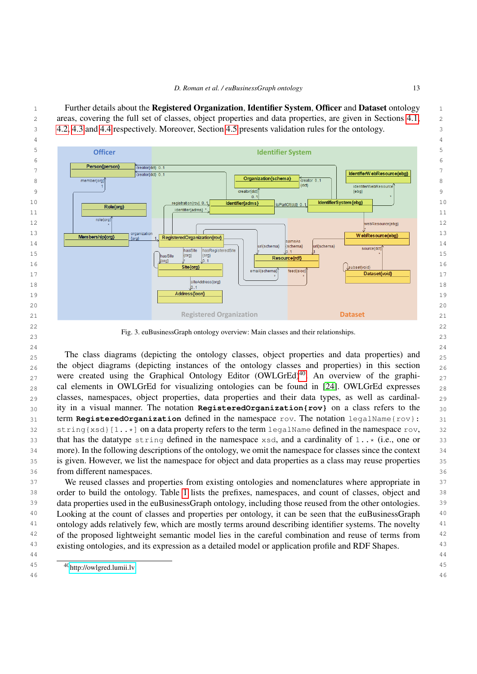1 Further details about the Registered Organization, Identifier System, Officer and Dataset ontology 1 2 areas, covering the full set of classes, object properties and data properties, are given in Sections [4.1,](#page-14-0) 3 [4.2,](#page-17-0) [4.3](#page-21-0) and [4.4](#page-23-0) respectively. Moreover, Section [4.5](#page-24-0) presents validation rules for the ontology.



23 Fig. 3. euBusinessGraph ontology overview: Main classes and their relationships.

 24 <sub>25</sub> The class diagrams (depicting the ontology classes, object properties and data properties) and <sub>25</sub>  $_{26}$  the object diagrams (depicting instances of the ontology classes and properties) in this section  $_{26}$ <sub>27</sub> were created using the Graphical Ontology Editor (OWLGrEd)<sup>[40](#page-12-1)</sup>. An overview of the graphi- $_{28}$  cal elements in OWLGrEd for visualizing ontologies can be found in [\[24\]](#page-32-4). OWLGrEd expresses  $_{28}$  29 classes, namespaces, object properties, data properties and their data types, as well as cardinal- 30 ity in a visual manner. The notation **RegisteredOrganization{rov}** on a class refers to the 31 term **RegisteredOrganization** defined in the namespace rov. The notation legalName{rov}: 31 32 string{xsd}[1..\*] on a data property refers to the term legalName defined in the namespace rov, 32 33 that has the datatype string defined in the namespace xsd, and a cardinality of 1..\* (i.e., one or 33 34 more). In the following descriptions of the ontology, we omit the namespace for classes since the context 35 is given. However, we list the namespace for object and data properties as a class may reuse properties 36 from different namespaces.

37 We reused classes and properties from existing ontologies and nomenclatures where appropriate in 37 38 order to build the ontology. Table [1](#page-13-0) lists the prefixes, namespaces, and count of classes, object and 39 data properties used in the euBusinessGraph ontology, including those reused from the other ontologies. 39 <sup>40</sup> Looking at the count of classes and properties per ontology, it can be seen that the euBusinessGraph<sup>40</sup> <sup>41</sup> ontology adds relatively few, which are mostly terms around describing identifier systems. The novelty <sup>41</sup> <sup>42</sup> of the proposed lightweight semantic model lies in the careful combination and reuse of terms from <sup>42</sup> <sup>43</sup> existing ontologies, and its expression as a detailed model or application profile and RDF Shapes. <sup>43</sup>

- 44
- <span id="page-12-1"></span> 45 <sup>40</sup><http://owlgred.lumii.lv>46
- 

<span id="page-12-0"></span>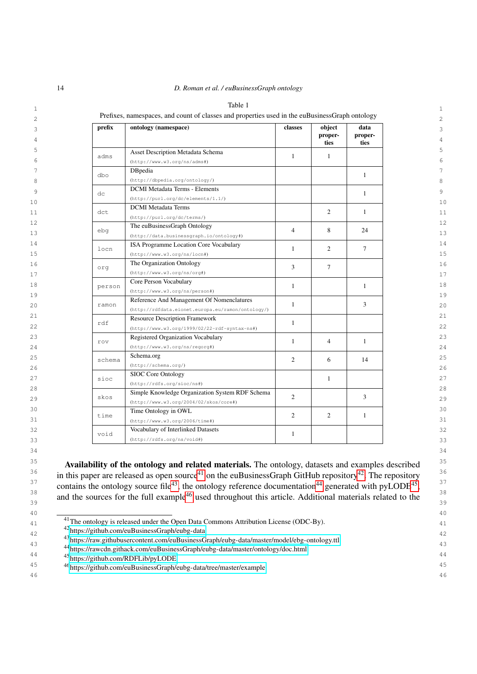<span id="page-13-0"></span>

| 14<br>D. Roman et al. / euBusinessGraph ontology |
|--------------------------------------------------|
|--------------------------------------------------|

|        | Prefixes, namespaces, and count of classes and properties used in the euBusinessGraph ontology |                |                           |                         |
|--------|------------------------------------------------------------------------------------------------|----------------|---------------------------|-------------------------|
| prefix | ontology (namespace)                                                                           | classes        | object<br>proper-<br>ties | data<br>proper-<br>ties |
| adms   | Asset Description Metadata Schema<br>(http://www.w3.org/ns/dams))                              | $\mathbf{1}$   | $\mathbf{1}$              |                         |
| dbo    | DBpedia<br>(http://dbpedia.org/ontology/)                                                      |                |                           | $\mathbf{1}$            |
| dc     | <b>DCMI</b> Metadata Terms - Elements<br>(http://purl.org/dc/elements/1.1/)                    |                |                           | 1                       |
| dct    | <b>DCMI</b> Metadata Terms<br>(http://purl.org/dc/terms/)                                      |                | 2                         | 1                       |
| ebq    | The euBusinessGraph Ontology<br>(http://data.businessgraph.io/ontology#)                       | $\overline{4}$ | 8                         | 24                      |
| locn   | ISA Programme Location Core Vocabulary<br>(http://www.w3.org/ns/locn#)                         | 1              | 2                         | $\tau$                  |
| org    | The Organization Ontology<br>(http://www.w3.org/ns/org#)                                       | 3              | 7                         |                         |
| person | Core Person Vocabulary<br>(http://www.w3.org/ns/person#)                                       | $\mathbf{1}$   |                           | 1                       |
| ramon  | Reference And Management Of Nomenclatures<br>(http://rdfdata.eionet.europa.eu/ramon/ontology/) | $\mathbf{1}$   |                           | 3                       |
| rdf    | <b>Resource Description Framework</b><br>(http://www.w3.org/1999/02/22-rdf-syntax-ns#)         | $\mathbf{1}$   |                           |                         |
| rov    | Registered Organization Vocabulary<br>(http://www.w3.org/ns/regorg#)                           | 1              | 4                         | 1                       |
| schema | Schema.org<br>(http://schema.org/)                                                             | 2              | 6                         | 14                      |
| sioc   | SIOC Core Ontology<br>(http://rdfs.org/sioc/ns#)                                               |                | 1                         |                         |
| skos   | Simple Knowledge Organization System RDF Schema<br>(http://www.w3.org/2004/02/skos/core#)      | 2              |                           | 3                       |
| time   | Time Ontology in OWL<br>$(http://www.w3.org/2006/time*))$                                      | 2              | 2                         | 1                       |
| void   | Vocabulary of Interlinked Datasets<br>(http://rdfs.org/ns/void#)                               | 1              |                           |                         |

34 34

 $\frac{35}{2}$  Availability of the ortology and related metapick The ortology detects and examples described  $\frac{35}{2}$ Availability of the ontology and related materials. The ontology, datasets and examples described  $\frac{36}{26}$  in this nanon are related as anon source of an the au Dusiness Craph Cit Lub renositor  $\frac{36}{26}$  $\frac{37}{28}$  contains the ontology source file<sup>[43](#page-13-3)</sup>, the ontology reference documentation<sup>[44](#page-13-4)</sup> generated with pyLODE<sup>[45](#page-13-5)</sup>,  $\frac{38}{14}$   $\frac{146}{14}$   $\frac{146}{14}$   $\frac{146}{14}$   $\frac{141}{14}$   $\frac{141}{14}$   $\frac{141}{14}$   $\frac{141}{14}$   $\frac{141}{14}$   $\frac{141}{14}$   $\frac{141}{14}$   $\frac{141}{14}$   $\frac{141}{14}$   $\frac{141}{14}$   $\frac{141}{14}$   $\frac{141}{14}$   $\frac{141}{14}$   $\frac{38}{39}$  and the sources for the full example<sup>[46](#page-13-6)</sup> used throughout this article. Additional materials related to the in this paper are released as open source<sup>[41](#page-13-1)</sup> on the euBusinessGraph GitHub repository<sup>[42](#page-13-2)</sup>. The repository

40 40

<span id="page-13-1"></span><sup>41</sup>The ontology is released under the Open Data Commons Attribution License (ODC-By).

<span id="page-13-2"></span> $_{42}$   $_{42}$   $_{42}$   $_{42}$   $_{42}$   $_{42}$   $_{42}$   $_{42}$   $_{42}$   $_{42}$   $_{42}$   $_{42}$   $_{42}$   $_{42}$   $_{42}$   $_{42}$   $_{42}$   $_{42}$   $_{42}$   $_{42}$   $_{42}$   $_{42}$   $_{42}$   $_{42}$   $_{42}$   $_{42}$   $_{42}$   $_{42}$   $_{42}$   $_{42}$   $_{42}$   $_{42$ <sup>42</sup><https://github.com/euBusinessGraph/eubg-data>

<sup>43</sup><https://raw.githubusercontent.com/euBusinessGraph/eubg-data/master/model/ebg-ontology.ttl> <sup>43</sup>

44 44 <sup>44</sup><https://rawcdn.githack.com/euBusinessGraph/eubg-data/master/ontology/doc.html>

<span id="page-13-6"></span><span id="page-13-5"></span><span id="page-13-4"></span><span id="page-13-3"></span><sup>45</sup><https://github.com/RDFLib/pyLODE>

45 45 <sup>46</sup><https://github.com/euBusinessGraph/eubg-data/tree/master/example>46 46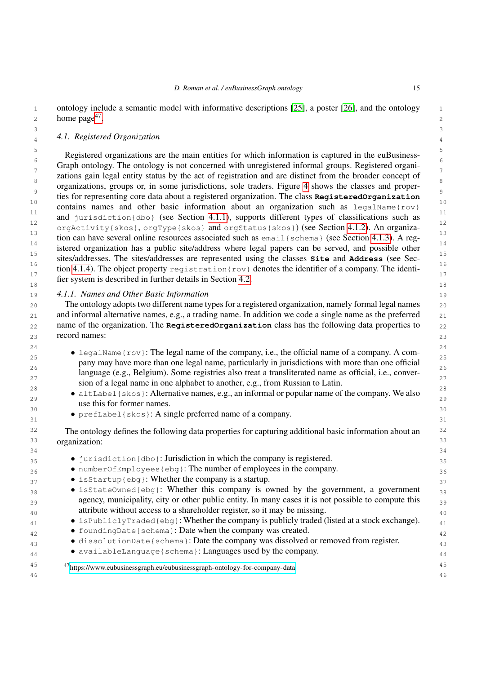1 ontology include a semantic model with informative descriptions [\[25\]](#page-32-5), a poster [\[26\]](#page-32-6), and the ontology 1  $\lambda$  2 a 2 home page<sup>[47](#page-14-1)</sup>.

### <span id="page-14-0"></span>3 3 4 4 *4.1. Registered Organization*

Equisible Registered organizations are the main entities for which information is captured in the euBusiness- $\frac{6}{7}$  Graph ontology. The ontology is not concerned with unregistered informal groups. Registered organi- $\frac{7}{2}$  zations gain legal entity status by the act of registration and are distinct from the broader concept of  $\frac{7}{2}$  $\frac{8}{\circ}$  organizations, groups or, in some jurisdictions, sole traders. Figure [4](#page-15-0) shows the classes and proper-<sup>9</sup><br>ties for representing core data about a registered organization. The class **RegisteredOrganization** 10<br>contains names and other basic information about an organization such as legalName{rov}  $\frac{11}{12}$  and jurisdiction{dbo} (see Section [4.1.1\)](#page-14-2), supports different types of classifications such as 12<br>
orgActivity{skos}, orgType{skos} and orgStatus{skos}) (see Section [4.1.2\)](#page-15-1). An organiza- $\frac{13}{14}$  tion can have several online resources associated such as email { schema } (see Section [4.1.3\)](#page-16-0). A reg- $\frac{14}{15}$  istered organization has a public site/address where legal papers can be served, and possible other 15 15 sites/addresses. The sites/addresses are represented using the classes **Site** and **Address** (see Sec- $\frac{16}{15}$  tion [4.1.4\)](#page-16-1). The object property registration{rov} denotes the identifier of a company. The identi- $\frac{17}{12}$  fier system is described in further details in Section [4.2.](#page-17-0) 18 18

<span id="page-14-2"></span>19 19 *4.1.1. Names and Other Basic Information*

20 20 The ontology adopts two different name types for a registered organization, namely formal legal names 21 and informal alternative names, e.g., a trading name. In addition we code a single name as the preferred 21 22 22 name of the organization. The **RegisteredOrganization** class has the following data properties to  $23$  record names:  $23$ record names:

- 24 **•** legalName{rov}: The legal name of the company, i.e., the official name of a company. A com- $\frac{25}{26}$  pany may have more than one legal name, particularly in jurisdictions with more than one official  $\frac{25}{26}$  $\frac{26}{27}$  language (e.g., Belgium). Some registries also treat a transliterated name as official, i.e., conver-<sup>27</sup><br>sion of a legal name in one alphabet to another, e.g., from Russian to Latin. 28  $\frac{28}{100}$  28  $\frac{28}{100}$  28
- altLabel{skos}: Alternative names, e.g., an informal or popular name of the company. We also  $\frac{29}{29}$ use this for former names.
- 30 30 prefLabel{skos}: A single preferred name of a company.  $31$   $1^{1}$   $1^{1}$   $1^{1}$   $1^{1}$   $1^{1}$   $1^{1}$   $1^{1}$   $1^{1}$   $1^{1}$   $1^{1}$   $1^{1}$   $1^{1}$   $1^{1}$   $1^{1}$   $1^{1}$   $1^{1}$   $1^{1}$   $1^{1}$   $1^{1}$   $1^{1}$   $1^{1}$   $1^{1}$   $1^{1}$   $1^{1}$   $1^{1}$   $1^{1}$   $1^{1}$   $1^{1}$   $1^{1}$   $1^{1}$   $1^{1}$

<sup>32</sup> The ontology defines the following data properties for capturing additional basic information about an <sup>32</sup> 33 33 organization:

- 34 34 35 35 • jurisdiction{dbo}: Jurisdiction in which the company is registered.
- 36 36 numberOfEmployees{ebg}: The number of employees in the company.
- isStartup{ebg}: Whether the company is a startup. 37
- 38 isStateOwned{ebg}: Whether this company is owned by the government, a government 38 39 39 agency, municipality, city or other public entity. In many cases it is not possible to compute this 40 40 attribute without access to a shareholder register, so it may be missing.
- $\bullet$  isPubliclyTraded{ebg}: Whether the company is publicly traded (listed at a stock exchange).  $\bullet$  41
- $\bullet$  foundingDate{schema}: Date when the company was created.
- dissolutionDate{schema}: Date the company was dissolved or removed from register.
- $\bullet$  availableLanguage{schema}: Languages used by the company.

<span id="page-14-1"></span>45 45 <sup>47</sup><https://www.eubusinessgraph.eu/eubusinessgraph-ontology-for-company-data>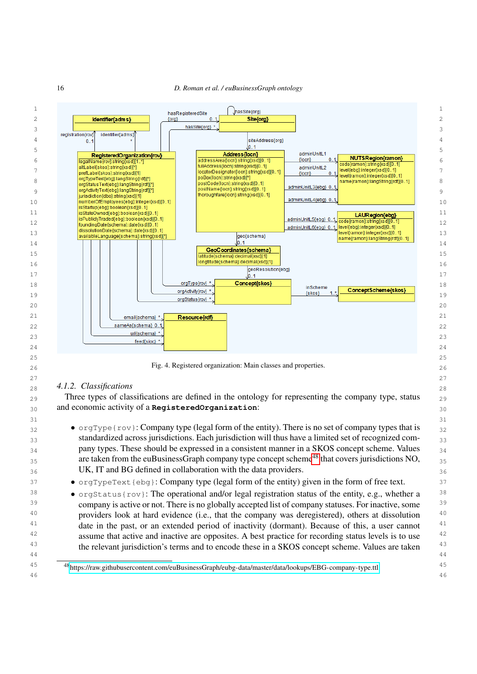<span id="page-15-0"></span>

<span id="page-15-2"></span><span id="page-15-1"></span>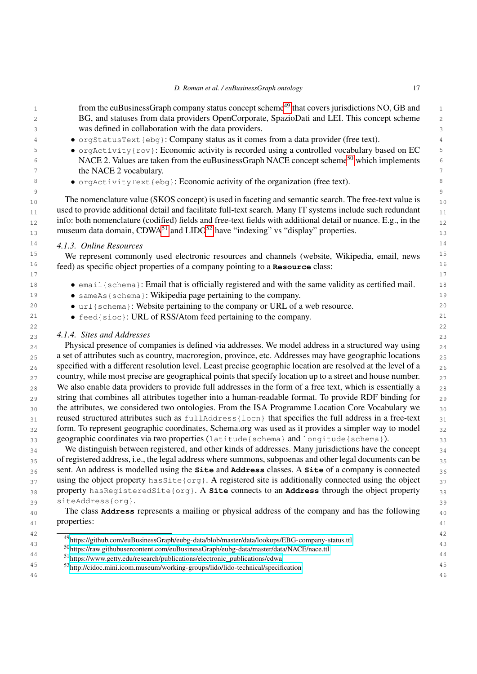<span id="page-16-0"></span>

|                            | D. Roman et al. / euBusinessGraph ontology                                                                                                                                                                    | 17 |
|----------------------------|---------------------------------------------------------------------------------------------------------------------------------------------------------------------------------------------------------------|----|
|                            | from the euBusinessGraph company status concept scheme <sup>49</sup> that covers jurisdictions NO, GB and                                                                                                     |    |
|                            | BG, and statuses from data providers OpenCorporate, SpazioDati and LEI. This concept scheme                                                                                                                   |    |
|                            | was defined in collaboration with the data providers.                                                                                                                                                         |    |
|                            | · orgStatusText{ebg}: Company status as it comes from a data provider (free text).                                                                                                                            |    |
|                            | • orgActivity{rov}: Economic activity is recorded using a controlled vocabulary based on EC                                                                                                                   |    |
|                            | NACE 2. Values are taken from the euBusinessGraph NACE concept scheme <sup>50</sup> which implements                                                                                                          |    |
| the NACE 2 vocabulary.     |                                                                                                                                                                                                               |    |
|                            | • orgActivityText{ebq}: Economic activity of the organization (free text).                                                                                                                                    |    |
|                            | The nomenclature value (SKOS concept) is used in faceting and semantic search. The free-text value is                                                                                                         |    |
|                            | used to provide additional detail and facilitate full-text search. Many IT systems include such redundant                                                                                                     |    |
|                            | info: both nomenclature (codified) fields and free-text fields with additional detail or nuance. E.g., in the                                                                                                 |    |
|                            | museum data domain, CDWA <sup>51</sup> and LIDO <sup>52</sup> have "indexing" vs "display" properties.                                                                                                        |    |
| 4.1.3. Online Resources    |                                                                                                                                                                                                               |    |
|                            | We represent commonly used electronic resources and channels (website, Wikipedia, email, news                                                                                                                 |    |
|                            | feed) as specific object properties of a company pointing to a Resource class:                                                                                                                                |    |
|                            |                                                                                                                                                                                                               |    |
|                            | • email {schema}: Email that is officially registered and with the same validity as certified mail.                                                                                                           |    |
|                            | • sameAs { schema }: Wikipedia page pertaining to the company.                                                                                                                                                |    |
|                            | • url {schema}: Website pertaining to the company or URL of a web resource.                                                                                                                                   |    |
|                            | • feed { sioc }: URL of RSS/Atom feed pertaining to the company.                                                                                                                                              |    |
|                            |                                                                                                                                                                                                               |    |
| 4.1.4. Sites and Addresses |                                                                                                                                                                                                               |    |
|                            | Physical presence of companies is defined via addresses. We model address in a structured way using                                                                                                           |    |
|                            | a set of attributes such as country, macroregion, province, etc. Addresses may have geographic locations                                                                                                      |    |
|                            | specified with a different resolution level. Least precise geographic location are resolved at the level of a                                                                                                 |    |
|                            | country, while most precise are geographical points that specify location up to a street and house number.                                                                                                    |    |
|                            | We also enable data providers to provide full addresses in the form of a free text, which is essentially a                                                                                                    |    |
|                            | string that combines all attributes together into a human-readable format. To provide RDF binding for                                                                                                         |    |
|                            | the attributes, we considered two ontologies. From the ISA Programme Location Core Vocabulary we                                                                                                              |    |
|                            | reused structured attributes such as fulladdress {locn} that specifies the full address in a free-text                                                                                                        |    |
|                            | form. To represent geographic coordinates, Schema.org was used as it provides a simpler way to model                                                                                                          |    |
|                            | geographic coordinates via two properties (latitude {schema} and longitude {schema}).                                                                                                                         |    |
|                            | We distinguish between registered, and other kinds of addresses. Many jurisdictions have the concept                                                                                                          |    |
|                            | of registered address, i.e., the legal address where summons, subpoenas and other legal documents can be<br>sent. An address is modelled using the Site and Address classes. A Site of a company is connected |    |
|                            |                                                                                                                                                                                                               |    |
|                            | using the object property has Site { org }. A registered site is additionally connected using the object<br>property hasRegisteredSite{org}. A site connects to an Address through the object property        |    |
|                            |                                                                                                                                                                                                               |    |
| siteAddress{org}.          | The class <b>Address</b> represents a mailing or physical address of the company and has the following                                                                                                        |    |
| properties:                |                                                                                                                                                                                                               |    |
|                            |                                                                                                                                                                                                               |    |
|                            | <sup>49</sup> https://github.com/euBusinessGraph/eubg-data/blob/master/data/lookups/EBG-company-status.ttl                                                                                                    |    |
|                            | <sup>50</sup> https://raw.githubusercontent.com/euBusinessGraph/eubg-data/master/data/NACE/nace.ttl                                                                                                           |    |
|                            | 51 https://www.getty.edu/research/publications/electronic_publications/cdwa                                                                                                                                   |    |

- <span id="page-16-5"></span><span id="page-16-4"></span><span id="page-16-3"></span><span id="page-16-2"></span><span id="page-16-1"></span><sup>45</sup> <sup>52</sup> http://gideo.min.joom.museum/working.groups/lide/lide technical/specification <sup>52</sup><http://cidoc.mini.icom.museum/working-groups/lido/lido-technical/specification>
- 46 46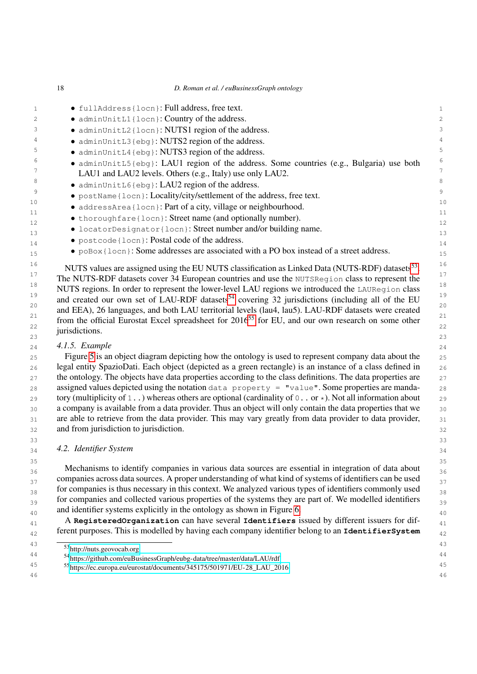|              | 18 | D. Roman et al. / euBusinessGraph ontology                                                 |                |
|--------------|----|--------------------------------------------------------------------------------------------|----------------|
| $\mathbf{1}$ |    | • fullAddress{locn}: Full address, free text.                                              | $\mathbf{1}$   |
| 2            |    | • adminUnitL1{locn}: Country of the address.                                               | $\overline{2}$ |
| 3            |    | • adminUnitL2{locn}: NUTS1 region of the address.                                          | 3              |
| 4            |    | • adminUnitL3{ebg}: NUTS2 region of the address.                                           | 4              |
| 5            |    | • adminUnitL4{ebq}: NUTS3 region of the address.                                           | 5.             |
| 6            |    | · adminUnitL5{ebg}: LAU1 region of the address. Some countries (e.g., Bulgaria) use both   | 6              |
|              |    | LAU1 and LAU2 levels. Others (e.g., Italy) use only LAU2.                                  | 7              |
| 8            |    | • adminUnitL6{ebg}: LAU2 region of the address.                                            | 8              |
| 9            |    | · postName { locn }: Locality/city/settlement of the address, free text.                   | 9              |
| 10           |    | • addressArea {locn}: Part of a city, village or neighbourhood.                            | 1 <sup>C</sup> |
| 11           |    | • thoroughfare { locn }: Street name (and optionally number).                              | 11             |
| 12           |    | · locatorDesignator{locn}: Street number and/or building name.                             | 12             |
| 13           |    | • postcode {locn}: Postal code of the address.                                             | 13             |
| 14           |    | • $poBox[locn]$ : Some addresses are associated with a PO box instead of a street address. | 14             |
| 15<br>16     |    |                                                                                            | 15<br>16       |

<sup>16</sup> NUTS values are assigned using the EU NUTS classification as Linked Data (NUTS-RDF) datasets<sup>[53](#page-17-1)</sup>. <sup>17</sup> 17 **17 The NUTS-RDF datasets cover 34 European countries and use the NUTSRegion class to represent the** <sup>18</sup> NUTS regions. In order to represent the lower-level LAU regions we introduced the LAURegion class <sup>18</sup> <sup>19</sup> and created our own set of LAU-RDF datasets<sup>[54](#page-17-2)</sup> covering 32 jurisdictions (including all of the EU <sup>20</sup> and EEA), 26 languages, and both LAU territorial levels (lau4, lau5). LAU-RDF datasets were created <sup>20</sup> <sup>21</sup> from the official Eurostat Excel spreadsheet for 2016<sup>[55](#page-17-3)</sup> for EU, and our own research on some other<sup>21</sup> 22  $\cdots$  is the same  $\cdots$  function of  $\cdots$  is a set of  $\cdots$  and  $\cdots$  22 23  $\frac{3}{2}$  23 jurisdictions.

# 24 24 *4.1.5. Example*

25 25 Figure [5](#page-18-0) is an object diagram depicting how the ontology is used to represent company data about the 26 26 legal entity SpazioDati. Each object (depicted as a green rectangle) is an instance of a class defined in 27 the ontology. The objects have data properties according to the class definitions. The data properties are 27 28 assigned values depicted using the notation data property = "value". Some properties are manda-<br>28 29 tory (multiplicity of 1...) whereas others are optional (cardinality of 0... or  $\star$ ). Not all information about 29 30 a company is available from a data provider. Thus an object will only contain the data properties that we  $\frac{30}{20}$ 31 are able to retrieve from the data provider. This may vary greatly from data provider to data provider, 31 32 32 and from jurisdiction to jurisdiction.

### <span id="page-17-0"></span>33 33 34 34 *4.2. Identifier System*

35 35 36 Mechanisms to identify companies in various data sources are essential in integration of data about 36 <sup>37</sup> companies across data sources. A proper understanding of what kind of systems of identifiers can be used <sup>38</sup> 58 58 for companies is thus necessary in this context. We analyzed various types of identifiers commonly used 39 for companies and collected various properties of the systems they are part of. We modelled identifiers 39 and identifier systems explicitly in the ontology as shown in Figure [6.](#page-18-1)  $\frac{40}{40}$ 

41 41 A **RegisteredOrganization** can have several **Identifiers** issued by different issuers for dif-42 42 ferent purposes. This is modelled by having each company identifier belong to an **IdentifierSystem**

<span id="page-17-1"></span><sup>43
&</sup>lt;sup>43</sup>
<sup>53</sup><http://nuts.geovocab.org><sup>43</sup>

<span id="page-17-2"></span><sup>44</sup> 44 <sup>54</sup><https://github.com/euBusinessGraph/eubg-data/tree/master/data/LAU/rdf>

<span id="page-17-3"></span><sup>45</sup> 45 <sup>55</sup>[https://ec.europa.eu/eurostat/documents/345175/501971/EU-28\\_LAU\\_2016](https://ec.europa.eu/eurostat/documents/345175/501971/EU-28_LAU_2016)46 46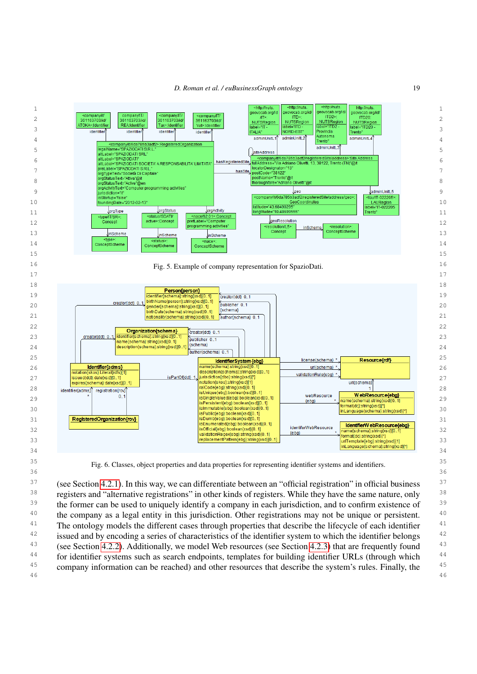<span id="page-18-0"></span>



<span id="page-18-1"></span><sup>37</sup> (see Section [4.2.1\)](#page-19-0). In this way, we can differentiate between an "official registration" in official business <sup>37</sup> <sup>38</sup> registers and "alternative registrations" in other kinds of registers. While they have the same nature, only <sup>39</sup> the former can be used to uniquely identify a company in each jurisdiction, and to confirm existence of <sup>39</sup> <sup>40</sup> the company as a legal entity in this jurisdiction. Other registrations may not be unique or persistent. <sup>40</sup> <sup>41</sup> The ontology models the different cases through properties that describe the lifecycle of each identifier <sup>41</sup> <sup>42</sup> issued and by encoding a series of characteristics of the identifier system to which the identifier belongs <sup>42</sup> <sup>43</sup> (see Section [4.2.2\)](#page-19-1). Additionally, we model Web resources (see Section [4.2.3\)](#page-20-0) that are frequently found <sup>43</sup> <sup>44</sup> for identifier systems such as search endpoints, templates for building identifier URLs (through which <sup>44</sup> <sup>45</sup> company information can be reached) and other resources that describe the system's rules. Finally, the <sup>45</sup> 46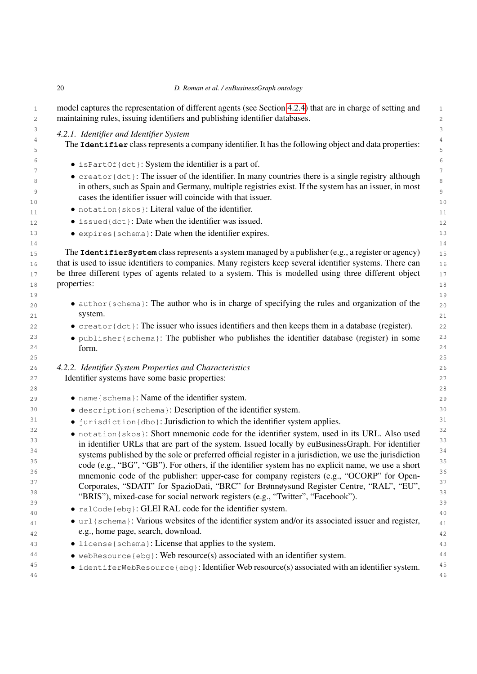|  | D. Roman et al. / euBusinessGraph ontology |
|--|--------------------------------------------|

<span id="page-19-1"></span><span id="page-19-0"></span>

| 4.2.1. Identifier and Identifier System                                                                      |
|--------------------------------------------------------------------------------------------------------------|
| The Identifier class represents a company identifier. It has the following object and data properties:       |
| • is Part Of {dct}: System the identifier is a part of.                                                      |
| $\bullet$ creator {dct}: The issuer of the identifier. In many countries there is a single registry although |
| in others, such as Spain and Germany, multiple registries exist. If the system has an issuer, in most        |
| cases the identifier issuer will coincide with that issuer.                                                  |
| • notation { skos }: Literal value of the identifier.                                                        |
| • issued {dct}: Date when the identifier was issued.                                                         |
| • expires { schema }: Date when the identifier expires.                                                      |
|                                                                                                              |
| The <b>Identifier System</b> class represents a system managed by a publisher (e.g., a register or agency)   |
| that is used to issue identifiers to companies. Many registers keep several identifier systems. There can    |
| be three different types of agents related to a system. This is modelled using three different object        |
| properties:                                                                                                  |
|                                                                                                              |
| • author { schema}: The author who is in charge of specifying the rules and organization of the              |
| system.                                                                                                      |
| $\bullet$ creator {dct}: The issuer who issues identifiers and then keeps them in a database (register).     |
| • publisher {schema}: The publisher who publishes the identifier database (register) in some                 |
| form.                                                                                                        |
| 4.2.2. Identifier System Properties and Characteristics                                                      |
| Identifier systems have some basic properties:                                                               |
|                                                                                                              |
| • name { schema }: Name of the identifier system.                                                            |
| · description { schema }: Description of the identifier system.                                              |
| • jurisdiction {dbo}: Jurisdiction to which the identifier system applies.                                   |
| • notation{skos}: Short mnemonic code for the identifier system, used in its URL. Also used                  |
| in identifier URLs that are part of the system. Issued locally by euBusinessGraph. For identifier            |
| systems published by the sole or preferred official register in a jurisdiction, we use the jurisdiction      |
| code (e.g., "BG", "GB"). For others, if the identifier system has no explicit name, we use a short           |
| mnemonic code of the publisher: upper-case for company registers (e.g., "OCORP" for Open-                    |
| Corporates, "SDATI" for SpazioDati, "BRC" for Brønnøysund Register Centre, "RAL", "EU",                      |
| "BRIS"), mixed-case for social network registers (e.g., "Twitter", "Facebook").                              |
| • ralCode{ebg}: GLEI RAL code for the identifier system.                                                     |
| • url {schema}: Various websites of the identifier system and/or its associated issuer and register,         |
| e.g., home page, search, download.                                                                           |
| • license { schema }: License that applies to the system.                                                    |
| $\bullet$ webResource{ebg}: Web resource(s) associated with an identifier system.                            |
|                                                                                                              |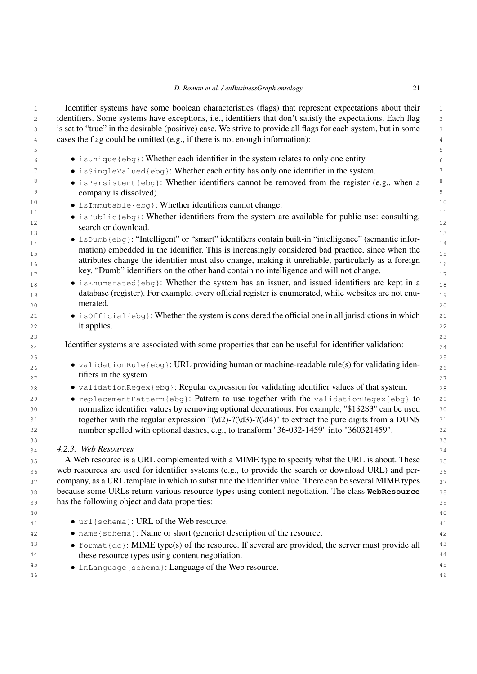| D. Roman et al. / euBusinessGraph ontology |  |
|--------------------------------------------|--|
|--------------------------------------------|--|

<span id="page-20-0"></span>

| $\mathbf{1}$ | Identifier systems have some boolean characteristics (flags) that represent expectations about their                                                                                         | $\mathbf{1}$   |
|--------------|----------------------------------------------------------------------------------------------------------------------------------------------------------------------------------------------|----------------|
| 2            | identifiers. Some systems have exceptions, i.e., identifiers that don't satisfy the expectations. Each flag                                                                                  | 2              |
| 3            | is set to "true" in the desirable (positive) case. We strive to provide all flags for each system, but in some                                                                               | 3              |
| 4            | cases the flag could be omitted (e.g., if there is not enough information):                                                                                                                  | $\sqrt{4}$     |
| 5            |                                                                                                                                                                                              | 5              |
| 6            | • isUnique{ebg}: Whether each identifier in the system relates to only one entity.                                                                                                           | 6              |
| 7            | • is SingleValued{ebg}: Whether each entity has only one identifier in the system.                                                                                                           | 7              |
| 8<br>9       | • isPersistent{ebg}: Whether identifiers cannot be removed from the register (e.g., when a<br>company is dissolved).                                                                         | 8<br>9         |
| 10           | • isImmutable{ebg}: Whether identifiers cannot change.                                                                                                                                       | 10             |
| 11           |                                                                                                                                                                                              | 11             |
| 12           | • isPublic{ebg}: Whether identifiers from the system are available for public use: consulting,<br>search or download.                                                                        | 12             |
| 13<br>$1\,4$ | $\bullet$ is Dumb {ebg}: "Intelligent" or "smart" identifiers contain built-in "intelligence" (semantic infor-                                                                               | 13<br>14       |
| 15           | mation) embedded in the identifier. This is increasingly considered bad practice, since when the                                                                                             | 15             |
| 16           | attributes change the identifier must also change, making it unreliable, particularly as a foreign<br>key. "Dumb" identifiers on the other hand contain no intelligence and will not change. | 16<br>17       |
| 17<br>18     | • isEnumerated{ebg}: Whether the system has an issuer, and issued identifiers are kept in a                                                                                                  | 18             |
| 19           | database (register). For example, every official register is enumerated, while websites are not enu-                                                                                         | 1 <sup>°</sup> |
| 20           | merated.                                                                                                                                                                                     | 2C             |
| 21           | $\bullet$ is Official {ebg}: Whether the system is considered the official one in all jurisdictions in which                                                                                 | 21             |
| 22           | it applies.                                                                                                                                                                                  | 22             |
| 23           |                                                                                                                                                                                              | 23             |
| 24           | Identifier systems are associated with some properties that can be useful for identifier validation:                                                                                         | 24             |
| 25           |                                                                                                                                                                                              | 25             |
| 26           | • validationRule{ebg}: URL providing human or machine-readable rule(s) for validating iden-                                                                                                  | 26             |
| 27           | tifiers in the system.                                                                                                                                                                       | 27             |
| 28           | · validationRegex{ebg}: Regular expression for validating identifier values of that system.                                                                                                  | 28             |
| 29           | • replacementPattern{ebg}: Pattern to use together with the validationRegex{ebg} to                                                                                                          | 2 <sup>c</sup> |
| 30           | normalize identifier values by removing optional decorations. For example, "\$1\$2\$3" can be used                                                                                           | 3C             |
| 31           | together with the regular expression "(\d2)-?(\d3)-?(\d4)" to extract the pure digits from a DUNS                                                                                            | 31             |
| 32           | number spelled with optional dashes, e.g., to transform "36-032-1459" into "360321459".                                                                                                      | 32             |
| 33           |                                                                                                                                                                                              | 33             |
| 34           | 4.2.3. Web Resources                                                                                                                                                                         | 34             |
| 35           | A Web resource is a URL complemented with a MIME type to specify what the URL is about. These                                                                                                | 35             |
| 36           | web resources are used for identifier systems (e.g., to provide the search or download URL) and per-                                                                                         | 36             |
| 37           | company, as a URL template in which to substitute the identifier value. There can be several MIME types                                                                                      | 37             |
| 38           | because some URLs return various resource types using content negotiation. The class WebResource                                                                                             | 38             |
| 39           | has the following object and data properties:                                                                                                                                                | 39             |
| 40           |                                                                                                                                                                                              | 40             |
| 41           | • url{schema}: URL of the Web resource.                                                                                                                                                      | 41             |
| 42           | • name { schema }: Name or short (generic) description of the resource.                                                                                                                      | 42             |
| 43           | • format $\{dc\}$ : MIME type(s) of the resource. If several are provided, the server must provide all                                                                                       | 43             |
| 44           | these resource types using content negotiation.                                                                                                                                              | 44             |
| 45           | • inLanguage { schema }: Language of the Web resource.                                                                                                                                       | 45             |
| 46           |                                                                                                                                                                                              | 46             |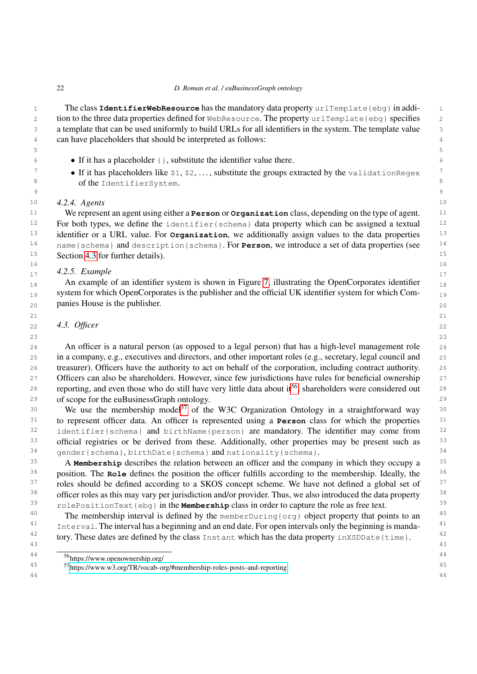1 The class **IdentifierWebResource** has the mandatory data property urlTemplate{ebg} in addi-2 tion to the three data properties defined for WebResource. The property urlTemplate{ebg} specifies 2 3 a template that can be used uniformly to build URLs for all identifiers in the system. The template value 4 can have placeholders that should be interpreted as follows:

5 5

<span id="page-21-1"></span>en de la construction de la construction de la construction de la construction de la construction de la constr<br>De la construction de la construction de la construction de la construction de la construction de la construct

- 6 6 If it has a placeholder {}, substitute the identifier value there.
- **If it has placeholders like**  $\$1, \$2, ...,$  substitute the groups extracted by the validationRegex<sup>7</sup> 8 8 of the IdentifierSystem.

# 10 10 *4.2.4. Agents*

11 11 We represent an agent using either a **Person** or **Organization** class, depending on the type of agent. 12 For both types, we define the identifier{schema} data property which can be assigned a textual 12 <sup>13</sup> identifier or a URL value. For **Organization**, we additionally assign values to the data properties<sup>13</sup> <sup>14</sup> name{schema} and description{schema}. For **Person**, we introduce a set of data properties (see <sup>14</sup> 15 15 Section [4.3](#page-21-0) for further details).

#### $16$  16  $17$  4.2.3. Example  $17$ *4.2.5. Example*

18 18 An example of an identifier system is shown in Figure [7,](#page-22-0) illustrating the OpenCorporates identifier 19 system for which OpenCorporates is the publisher and the official UK identifier system for which Com-20 20 panies House is the publisher.

21  $\hspace{1.5cm}$  21

 $23$  23

#### <span id="page-21-0"></span>22 **4.3. Officer** 22 *4.3. Officer*

 24 An officer is a natural person (as opposed to a legal person) that has a high-level management role 25 in a company, e.g., executives and directors, and other important roles (e.g., secretary, legal council and 26 treasurer). Officers have the authority to act on behalf of the corporation, including contract authority. 27 Officers can also be shareholders. However, since few jurisdictions have rules for beneficial ownership 27 28 reporting, and even those who do still have very little data about it<sup>[56](#page-21-2)</sup>, shareholders were considered out 28 29 of scope for the euBusinessGraph ontology.

30 We use the membership model<sup>[57](#page-21-3)</sup> of the W3C Organization Ontology in a straightforward way 30 31 31 to represent officer data. An officer is represented using a **Person** class for which the properties <sup>32</sup> identifier{schema} and birthName{person} are mandatory. The identifier may come from <sup>32</sup> 33 official registries or be derived from these. Additionally, other properties may be present such as 33  $34$  gender{schema}, birthDate{schema} and nationality{schema}.  $34$ 

<sup>35</sup> A Membership describes the relation between an officer and the company in which they occupy a <sup>35</sup> <sup>36</sup> position. The **Role** defines the position the officer fulfills according to the membership. Ideally, the <sup>36</sup> <sup>37</sup> roles should be defined according to a SKOS concept scheme. We have not defined a global set of <sup>37</sup> <sup>38</sup> officer roles as this may vary per jurisdiction and/or provider. Thus, we also introduced the data property <sup>38</sup> 39 39 rolePositionText{ebg} in the **Membership** class in order to capture the role as free text.

<sup>40</sup> The membership interval is defined by the memberDuring{org} object property that points to an <sup>40</sup> <sup>41</sup> Interval. The interval has a beginning and an end date. For open intervals only the beginning is manda-<sup>41</sup> <sup>42</sup> tory. These dates are defined by the class Instant which has the data property inXSDDate{time}. <sup>42</sup> 43 43

<span id="page-21-2"></span><sup>44</sup> 44 <sup>56</sup>https://www.openownership.org/

<span id="page-21-3"></span><sup>45</sup> 45 <sup>57</sup>[https://www.w3.org/TR/vocab-org/#membership-roles-posts-and-reporting](https://www.w3.org/TR/vocab-org/##membership-roles-posts-and-reporting)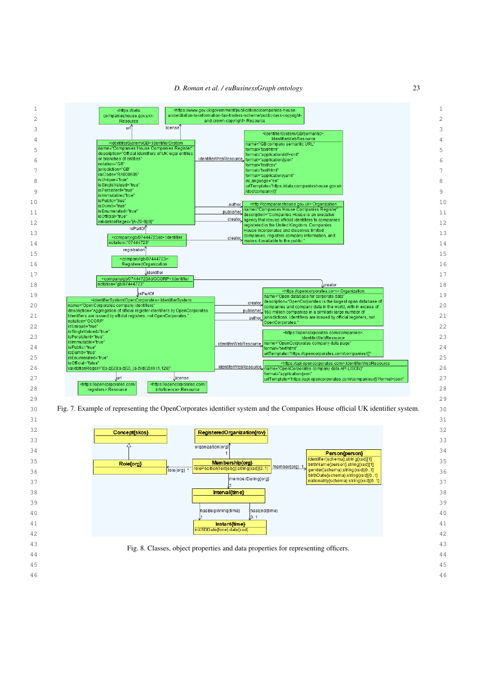

<span id="page-22-0"></span>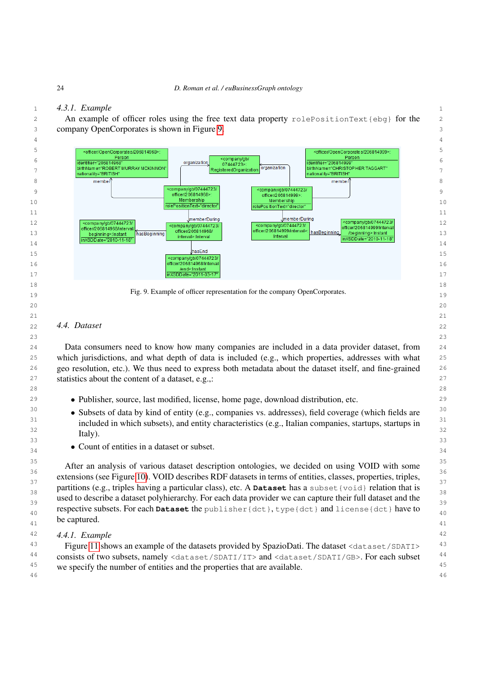# 1 *4.3.1. Example*

2 An example of officer roles using the free text data property rolePositionText{ebg} for the

3 company OpenCorporates is shown in Figure [9.](#page-23-1)



#### <span id="page-23-0"></span>22  $\,$  4.4. Dataset  $\,$  22 *4.4. Dataset*

 24 Data consumers need to know how many companies are included in a data provider dataset, from 25 which jurisdictions, and what depth of data is included (e.g., which properties, addresses with what 26 geo resolution, etc.). We thus need to express both metadata about the dataset itself, and fine-grained 27 statistics about the content of a dataset, e.g.,: 27 and 27

28

<span id="page-23-1"></span> $\hspace{1.5cm}$  21

23

- <sup>29</sup> Publisher, source, last modified, license, home page, download distribution, etc.
- <sup>30</sup> Subsets of data by kind of entity (e.g., companies vs. addresses), field coverage (which fields are <sup>30</sup> <sup>31</sup> included in which subsets), and entity characteristics (e.g., Italian companies, startups, startups in<sup>31</sup>  $\frac{32}{100}$   $\frac{1}{200}$   $\frac{32}{100}$   $\frac{32}{100}$  $\sim$  33  $\sim$  33 Italy).
- $\bullet$  Count of characterized in a dataset of subset. • Count of entities in a dataset or subset.

<sup>35</sup><br>After an analysis of various dataset description ontologies, we decided on using VOID with some 36  $36$  36  $36$  36  $36$  36  $36$  36  $36$  36  $36$  36  $36$  37  $36$  37  $36$  37  $36$  37  $36$  37  $36$  37  $36$  37  $36$  37  $36$  37  $37$  37  $37$  37  $37$  37  $37$  37  $37$  37  $37$  37  $37$  37  $37$  37  $37$  37  $37$  37  $37$  37  $37$  extensions (see Figure [10\)](#page-24-1). VOID describes RDF datasets in terms of entities, classes, properties, triples, partitions (e.g., triples having a particular class), etc. A **Dataset** has a subset {void} relation that is used to describe a dataset polyhierarchy. For each data provider we can capture their full dataset and the respective subsets. For each **Dataset** the publisher{dct}, type{dct} and license{dct} have to  $\frac{40}{40}$  $\frac{41}{41}$  be captured.  $\frac{41}{41}$ be captured.

42 *4.4.1. Example*

<sup>43</sup> Figure [11](#page-24-2) shows an example of the datasets provided by SpazioDati. The dataset <dataset/SDATI><sup>43</sup> 44 consists of two subsets, namely <dataset/SDATI/IT> and <dataset/SDATI/GB>. For each subset 44 <sup>45</sup> we specify the number of entities and the properties that are available.<sup>45</sup> 46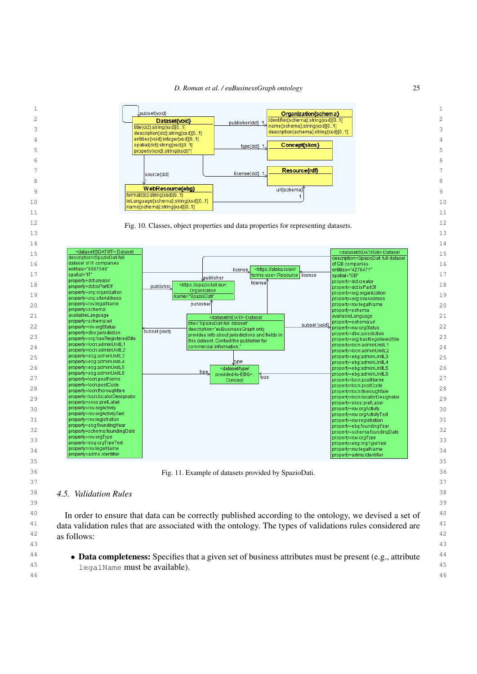<span id="page-24-1"></span>*D. Roman et al. / euBusinessGraph ontology* 25



<span id="page-24-2"></span><span id="page-24-0"></span><sup>40</sup> In order to ensure that data can be correctly published according to the ontology, we devised a set of <sup>40</sup> <sup>41</sup> data validation rules that are associated with the ontology. The types of validations rules considered are <sup>41</sup>  $\frac{42}{100}$  as follows: as follows:

<sup>44</sup> • **Data completeness:** Specifies that a given set of business attributes must be present (e.g., attribute <sup>44</sup> 45 legalName must be available).46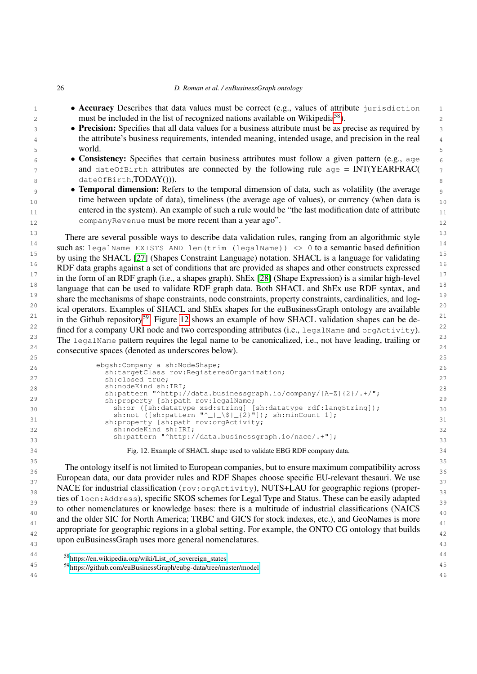- 26 *D. Roman et al. / euBusinessGraph ontology* **• Accuracy** Describes that data values must be correct (e.g., values of attribute jurisdiction 1 2 must be included in the list of recognized nations available on Wikipedia<sup>[58](#page-25-0)</sup>). **• Precision:** Specifies that all data values for a business attribute must be as precise as required by <sup>4</sup> <sup>4</sup> the attribute's business requirements, intended meaning, intended usage, and precision in the real <sup>4</sup> 5 5 6 **• Consistency:** Specifies that certain business attributes must follow a given pattern (e.g., age  $\overline{6}$ and dateOfBirth attributes are connected by the following rule age = INT(YEARFRAC( $\frac{7}{2}$  $8$  dateOfBirth,TODAY())). <sup>9</sup> **• Temporal dimension:** Refers to the temporal dimension of data, such as volatility (the average  $_{10}$  time between update of data), timeliness (the average age of values), or currency (when data is  $_{10}$ entered in the system). An example of such a rule would be "the last modification date of attribute $_{11}$ 12 12 companyRevenue must be more recent than a year ago". <sup>13</sup> 13 13 13 13 There are several possible ways to describe data validation rules, ranging from an algorithmic style 14 such as: legalName EXISTS AND len(trim (legalName)) <> 0 to a semantic based definition <sup>15</sup> by using the SHACL [\[27\]](#page-32-7) (Shapes Constraint Language) notation. SHACL is a language for validating <sup>15</sup>  $16$  RDF data graphs against a set of conditions that are provided as shapes and other constructs expressed  $16$ <sup>17</sup> in the form of an RDF graph (i.e., a shapes graph). ShEx [\[28\]](#page-32-8) (Shape Expression) is a similar high-level  $^{17}$ <sup>18</sup> language that can be used to validate RDF graph data. Both SHACL and ShEx use RDF syntax, and <sup>18</sup> <sup>19</sup> share the mechanisms of shape constraints, node constraints, property constraints, cardinalities, and log-<sup>19</sup> <sup>20</sup> ical operators. Examples of SHACL and ShEx shapes for the euBusinessGraph ontology are available <sup>20</sup> <sup>21</sup> in the Github repository<sup>[59](#page-25-1)</sup>. Figure [12](#page-25-2) shows an example of how SHACL validation shapes can be de-<sup>21</sup> <sup>22</sup> fined for a company URI node and two corresponding attributes (i.e., legalName and orgActivity).<sup>22</sup> <sup>23</sup> The legalName pattern requires the legal name to be canonicalized, i.e., not have leading, trailing or <sup>23</sup> 24 24 consecutive spaces (denoted as underscores below). 25  $\sim$  25 26 26 ebgsh:Company a sh:NodeShape; 27 sh:closed true; 27 sh:closed true; 27 sh:closed true; 27 sh:closed true; 27 sh:closed true; 27 sh:closed true; 27 sh:closed true; 27 sh:closed true; 27 sh:closed true; 27 sh:closed true; 27 sh:closed true; 27 sh:closed 28 28 sh:pattern "^http://data.businessgraph.io/company/[A-Z]{2}/.+/"; 29 sh property [sh path roy legal Name: 1, 1, 1, 1, 1, 1, 1, 1, 1, 1, 29 30  $\,$  sh:or ([sh:datatype xsd:string] [sh:datatype rdf:langString]);  $\,$   $\,$  30  $\frac{31}{2}$   $\frac{1}{2}$   $\frac{1}{2}$   $\frac{1}{2}$   $\frac{1}{2}$   $\frac{1}{2}$   $\frac{1}{2}$   $\frac{1}{2}$   $\frac{1}{2}$   $\frac{1}{2}$   $\frac{1}{2}$   $\frac{1}{2}$   $\frac{1}{2}$   $\frac{1}{2}$   $\frac{1}{2}$   $\frac{1}{2}$   $\frac{1}{2}$   $\frac{1}{2}$   $\frac{1}{2}$   $\frac{1}{2}$   $\frac{1}{2}$   $\frac{1}{2}$  32 32 sh:nodeKind sh:IRI; 33 33 sh:pattern "^http://data.businessgraph.io/nace/.+"]; 34 34 Fig. 12. Example of SHACL shape used to validate EBG RDF company data. 35 35 <sup>36</sup> 36 The ontology itself is not limited to European companies, but to ensure maximum compatibility across <sup>36</sup> <sup>37</sup> European data, our data provider rules and RDF Shapes choose specific EU-relevant thesauri. We use 38 NACE for industrial classification (rov:orgActivity), NUTS+LAU for geographic regions (proper-139 ties of locn: Address), specific SKOS schemes for Legal Type and Status. These can be easily adapted <sub>40</sub> to other nomenclatures or knowledge bases: there is a multitude of industrial classifications (NAICS <sub>40</sub> and the older SIC for North America; TRBC and GICS for stock indexes, etc.), and GeoNames is more appropriate for geographic regions in a global setting. For example, the ONTO CG ontology that builds  $\frac{42}{42}$ 43 43 upon euBusinessGraph uses more general nomenclatures. world. sh:targetClass rov:RegisteredOrganization; sh:nodeKind sh:IRI; sh:property [sh:path rov:legalName; sh:or ([sh:datatype xsd:string] [sh:datatype rdf:langString]); sh:not ([sh:pattern "^\_|\_\\$|\_{2}"]); sh:minCount 1]; sh:property [sh:path rov:orgActivity;
- <span id="page-25-2"></span><span id="page-25-0"></span>44 44 <sup>58</sup>[https://en.wikipedia.org/wiki/List\\_of\\_sovereign\\_states](https://en.wikipedia.org/wiki/List_of_sovereign_states)

<span id="page-25-1"></span><sup>45</sup> 45 <sup>59</sup><https://github.com/euBusinessGraph/eubg-data/tree/master/model>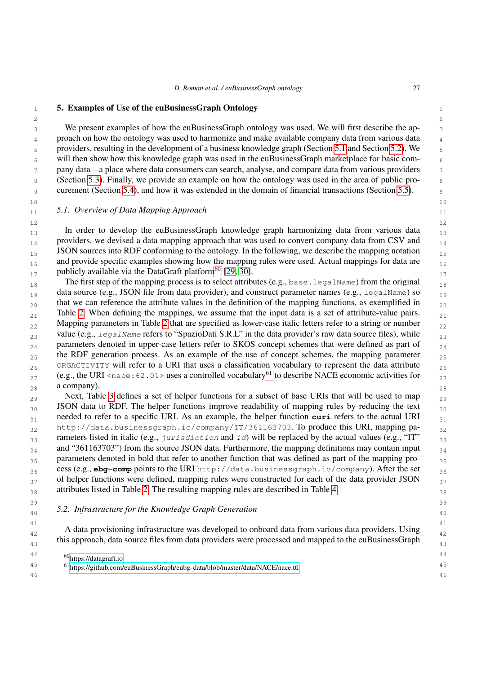<span id="page-26-0"></span>1 **5. Examples of Use of the euBusinessGraph Ontology** 1

 $2 \times 2$ <sup>3</sup> 3 We present examples of how the euBusinessGraph ontology was used. We will first describe the ap-<sup>4</sup> proach on how the ontology was used to harmonize and make available company data from various data <sup>4</sup> 5 5 providers, resulting in the development of a business knowledge graph (Section [5.1](#page-26-1) and Section [5.2\)](#page-26-2). We  $6 \times 6$  will then show how this knowledge graph was used in the euBusinessGraph marketplace for basic com-<sup>7</sup> pany data—a place where data consumers can search, analyse, and compare data from various providers <sup>7</sup> 8 (Section [5.3\)](#page-28-0). Finally, we provide an example on how the ontology was used in the area of public pro-9 9 curement (Section [5.4\)](#page-29-0), and how it was extended in the domain of financial transactions (Section [5.5\)](#page-29-1).

 $10$  and  $10$  and  $10$  and  $10$  and  $10$  and  $10$ 

# <span id="page-26-1"></span>11 11 *5.1. Overview of Data Mapping Approach*

 $12$  and  $12$  and  $12$  and  $12$  and  $12$  and  $12$  and  $12$  and  $12$  and  $12$ 13 13 In order to develop the euBusinessGraph knowledge graph harmonizing data from various data  $_{14}$  providers, we devised a data mapping approach that was used to convert company data from CSV and  $_{14}$  $_{15}$  JSON sources into RDF conforming to the ontology. In the following, we describe the mapping notation  $_{15}$  $_{16}$  and provide specific examples showing how the mapping rules were used. Actual mappings for data are  $_{16}$ publicly available via the DataGraft platform<sup>[60](#page-26-3)</sup> [\[29,](#page-32-9) [30\]](#page-32-10).

18 18 The first step of the mapping process is to select attributes (e.g., base.legalName) from the original data source (e.g., JSON file from data provider), and construct parameter names (e.g., legalName) so  $_{19}$  $_{20}$  that we can reference the attribute values in the definition of the mapping functions, as exemplified in  $_{20}$  $_{21}$  Table [2.](#page-27-0) When defining the mappings, we assume that the input data is a set of attribute-value pairs.  $_{21}$  $_{22}$  Mapping parameters in Table [2](#page-27-0) that are specified as lower-case italic letters refer to a string or number  $_{22}$ value (e.g.,  $l$ egalName refers to "SpazioDati S.R.L" in the data provider's raw data source files), while  $_{23}$  $_{24}$  parameters denoted in upper-case letters refer to SKOS concept schemes that were defined as part of  $_{24}$ <sub>25</sub> the RDF generation process. As an example of the use of concept schemes, the mapping parameter <sub>25</sub>  $_{26}$  ORGACTIVITY will refer to a URI that uses a classification vocabulary to represent the data attribute  $_{26}$ 27 (e.g., the URI <nace:62.01> uses a controlled vocabulary<sup>[61](#page-26-4)</sup> to describe NACE economic activities for  $27$  $28$  a company). 28 a company).

29 Next, Table [3](#page-27-1) defines a set of helper functions for a subset of base URIs that will be used to map  $_{29}$ 30 **JSON** data to RDF. The helper functions improve readability of mapping rules by reducing the text <sup>30</sup> <sub>31</sub> needed to refer to a specific URI. As an example, the helper function **curi** refers to the actual URI <sub>31</sub> 32 http://data.businessgraph.io/company/IT/361163703. To produce this URI, mapping pa- $_{33}$  rameters listed in italic (e.g., jurisdiction and id) will be replaced by the actual values (e.g., "IT"  $_{33}$  $_{34}$  and "361163703") from the source JSON data. Furthermore, the mapping definitions may contain input  $_{34}$ 35 parameters denoted in bold that refer to another function that was defined as part of the mapping pro-36 36 cess (e.g., **ebg-comp** points to the URI http://data.businessgraph.io/company). After the set  $37$  of helper functions were defined, mapping rules were constructed for each of the data provider JSON  $37$ <sup>38</sup> 38 38 38 38 attributes listed in Table [2.](#page-27-0) The resulting mapping rules are described in Table [4.](#page-28-1)

39 39

# <span id="page-26-2"></span>40 40 *5.2. Infrastructure for the Knowledge Graph Generation*

41 **41 1992 The Contract Contract Contract Contract Contract Contract Contract Contract Contract Contract Contract Contract Contract Contract Contract Contract Contract Contract Contract Contract Contract Contract Contra** A data provisioning infrastructure was developed to onboard data from various data providers. Using  $\frac{42}{42}$ this approach, data source files from data providers were processed and mapped to the euBusinessGraph  $\frac{1}{43}$ 

<span id="page-26-3"></span><sup>44 60</sup> <https://datagraft.io>

<span id="page-26-4"></span><sup>45</sup> 45 <sup>61</sup><https://github.com/euBusinessGraph/eubg-data/blob/master/data/NACE/nace.ttl>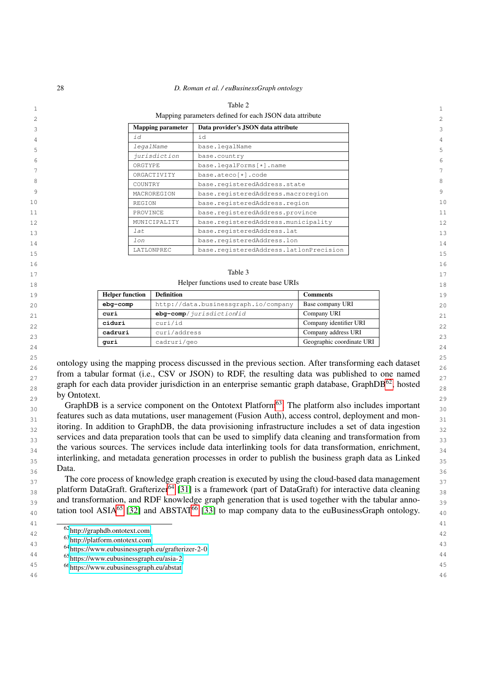<span id="page-27-0"></span>

|    |                          | Table 2                                                 |    |
|----|--------------------------|---------------------------------------------------------|----|
|    |                          | Mapping parameters defined for each JSON data attribute | 2  |
| 3  | <b>Mapping parameter</b> | Data provider's JSON data attribute                     | 3  |
| 4  | id                       | id                                                      | 4  |
| 5  | legalName                | base.legalName                                          | 5  |
|    | jurisdiction             | base.country                                            |    |
| 6  | ORGTYPE                  | base.legalForms[*].name                                 | 6  |
|    | ORGACTIVITY              | base.ateco[*].code                                      |    |
| 8  | COUNTRY                  | base.reqisteredAddress.state                            | 8  |
| 9  | MACROREGION              | base.registeredAddress.macroregion                      | 9  |
| 10 | REGION                   | base.registeredAddress.region                           | 10 |
| 11 | PROVINCE                 | base.reqisteredAddress.province                         | 11 |
| 12 | MUNICIPALITY             | base.registeredAddress.municipality                     | 12 |
| 13 | lat                      | base.reqisteredAddress.lat                              | 13 |
| 14 | lon                      | base.reqisteredAddress.lon                              | 14 |
| 15 | LATLONPREC               | base.registeredAddress.latlonPrecision                  | 15 |
| 16 |                          |                                                         | 16 |
|    |                          |                                                         |    |

#### <span id="page-27-1"></span> $17$  17 Table 3

18 18

| 19  | <b>Helper function</b> | <b>Definition</b>                    | Comments                  | 1 <sup>c</sup> |
|-----|------------------------|--------------------------------------|---------------------------|----------------|
| 2.0 | eba-comp               | http://data.businessgraph.io/company | Base company URI          | 2C             |
| 21  | curi                   | ebq-comp/jurisdiction/id             | Company URI               | 21             |
| 22  | ciduri                 | curi/id                              | Company identifier URI    | 22             |
| 23  | cadruri                | curi/address                         | Company address URI       | 23             |
|     | quri                   | cadruri/geo                          | Geographic coordinate URI |                |
| 24  |                        |                                      |                           | 24             |

25 25 26 26 ontology using the mapping process discussed in the previous section. After transforming each dataset  $27$  from a tabular format (i.e., CSV or JSON) to RDF, the resulting data was published to one named  $27$ graph for each data provider jurisdiction in an enterprise semantic graph database, GraphDB<sup>[62](#page-27-2)</sup>, hosted  $\frac{28}{28}$  $29$  by Ontouch. 29 by Ontotext.

 $\frac{30}{30}$  GraphDB is a service component on the Ontotext Platform<sup>[63](#page-27-3)</sup>. The platform also includes important  $\frac{30}{30}$  $_{31}$  features such as data mutations, user management (Fusion Auth), access control, deployment and mon- $_{32}$  itoring. In addition to GraphDB, the data provisioning infrastructure includes a set of data ingestion  $_{32}$ services and data preparation tools that can be used to simplify data cleaning and transformation from <sub>33</sub>  $_{34}$  the various sources. The services include data interlinking tools for data transformation, enrichment,  $_{34}$ <sup>35</sup> interlinking, and metadata generation processes in order to publish the business graph data as Linked<sup>35</sup>  $36$  Data.  $36$  36 Data.

<sup>37</sup> The core process of knowledge graph creation is executed by using the cloud-based data management 38 platform DataGraft. Grafterizer<sup>[64](#page-27-4)</sup> [\[31\]](#page-32-11) is a framework (part of DataGraft) for interactive data cleaning 38 39 and transformation, and RDF knowledge graph generation that is used together with the tabular anno-tation tool ASIA<sup>[65](#page-27-5)</sup> [\[32\]](#page-32-12) and ABSTAT<sup>[66](#page-27-6)</sup> [\[33\]](#page-32-13) to map company data to the euBusinessGraph ontology.  $\frac{40}{40}$ 

<span id="page-27-4"></span><span id="page-27-3"></span><span id="page-27-2"></span><sup>63</sup><http://platform.ontotext.com>

43<br>
<sup>64</sup><https://www.eubusinessgraph.eu/grafterizer-2-0>

<span id="page-27-5"></span>44 44 <sup>65</sup><https://www.eubusinessgraph.eu/asia-2>

<span id="page-27-6"></span>45 45 <sup>66</sup><https://www.eubusinessgraph.eu/abstat>

<sup>42</sup> 42 <sup>62</sup><http://graphdb.ontotext.com>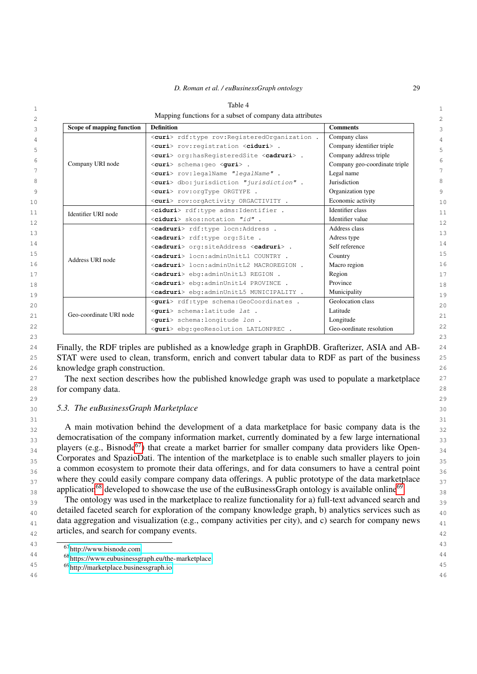<span id="page-28-1"></span>

| Scope of mapping function | <b>Definition</b>                                         | <b>Comments</b>               |  |
|---------------------------|-----------------------------------------------------------|-------------------------------|--|
| Company URI node          | <curi> rdf:type rov:RegisteredOrganization .</curi>       | Company class                 |  |
|                           | <curi> rov: registration <ciduri> .</ciduri></curi>       | Company identifier triple     |  |
|                           | <curi> org:hasReqisteredSite <cadruri> .</cadruri></curi> | Company address triple        |  |
|                           | <curi> schema:qeo <quri>.</quri></curi>                   | Company geo-coordinate triple |  |
|                           | <curi> rov:legalName "legalName".</curi>                  | Legal name                    |  |
|                           | <curi> dbo: jurisdiction "jurisdiction".</curi>           | Jurisdiction                  |  |
|                           | <curi> rov:orqType ORGTYPE .</curi>                       | Organization type             |  |
|                           | <curi> rov:orgActivity ORGACTIVITY .</curi>               | Economic activity             |  |
| Identifier URI node       | <ciduri> rdf:type adms:Identifier.</ciduri>               | Identifier class              |  |
|                           | <ciduri> skos:notation "id".</ciduri>                     | Identifier value              |  |
|                           | <cadruri> rdf:type locn:Address .</cadruri>               | Address class                 |  |
|                           | <cadruri> rdf:type org:Site .</cadruri>                   | Adress type                   |  |
|                           | <cadruri> org:siteAddress <cadruri> .</cadruri></cadruri> | Self reference                |  |
| Address URI node          | <cadruri> locn:adminUnitL1 COUNTRY .</cadruri>            | Country                       |  |
|                           | <cadruri> locn:adminUnitL2 MACROREGION .</cadruri>        | Macro region                  |  |
|                           | <cadruri> ebq:adminUnitL3 REGION .</cadruri>              | Region                        |  |
|                           | <cadruri> ebg:adminUnitL4 PROVINCE .</cadruri>            | Province                      |  |
|                           | <cadruri> ebq:adminUnitL5 MUNICIPALITY .</cadruri>        | Municipality                  |  |
|                           | <quri> rdf:type schema:GeoCoordinates .</quri>            | Geolocation class             |  |
| Geo-coordinate URI node   | <quri> schema:latitude lat .</quri>                       | Latitude                      |  |
|                           | <quri> schema:longitude lon.</quri>                       | Longitude                     |  |
|                           | <guri> ebq:qeoResolution LATLONPREC .</guri>              | Geo-oordinate resolution      |  |

<sup>24</sup> Finally, the RDF triples are published as a knowledge graph in GraphDB. Grafterizer, ASIA and AB-<sup>24</sup> <sup>25</sup> STAT were used to clean, transform, enrich and convert tabular data to RDF as part of the business <sup>25</sup> 26 26 knowledge graph construction.

<sup>27</sup> The next section describes how the published knowledge graph was used to populate a marketplace <sup>27</sup> 28 28 for company data.

## <span id="page-28-0"></span>30 30 *5.3. The euBusinessGraph Marketplace*

 $31$   $31$ 32 A main motivation behind the development of a data marketplace for basic company data is the 32 <sup>33</sup> democratisation of the company information market, currently dominated by a few large international <sup>33</sup>  $_{34}$  players (e.g., Bisnode<sup>[67](#page-28-2)</sup>) that create a market barrier for smaller company data providers like Open-<br><sub>34</sub>  $_{35}$  Corporates and SpazioDati. The intention of the marketplace is to enable such smaller players to join  $_{35}$ 36 a common ecosystem to promote their data offerings, and for data consumers to have a central point 36  $37$  where they could easily compare company data offerings. A public prototype of the data marketplace  $37$ 38 application<sup>[68](#page-28-3)</sup> developed to showcase the use of the euBusinessGraph ontology is available online<sup>[69](#page-28-4)</sup>.

<sup>39</sup> 39 The ontology was used in the marketplace to realize functionality for a) full-text advanced search and <sup>39</sup>  $_{40}$  detailed faceted search for exploration of the company knowledge graph, b) analytics services such as  $_{40}$ data aggregation and visualization (e.g., company activities per city), and c) search for company news  $_{41}$ 42 42 articles, and search for company events.

46 46

<span id="page-28-2"></span><sup>43
&</sup>lt;sup>43</sup>
<sup>67</sup><http://www.bisnode.com><sup>43</sup>

<span id="page-28-3"></span><sup>44&</sup>lt;br>
<sup>44</sup> <sup>68</sup><https://www.eubusinessgraph.eu/the-marketplace> <sup>44</sup>

<span id="page-28-4"></span><sup>45</sup> 45 <sup>69</sup><http://marketplace.businessgraph.io>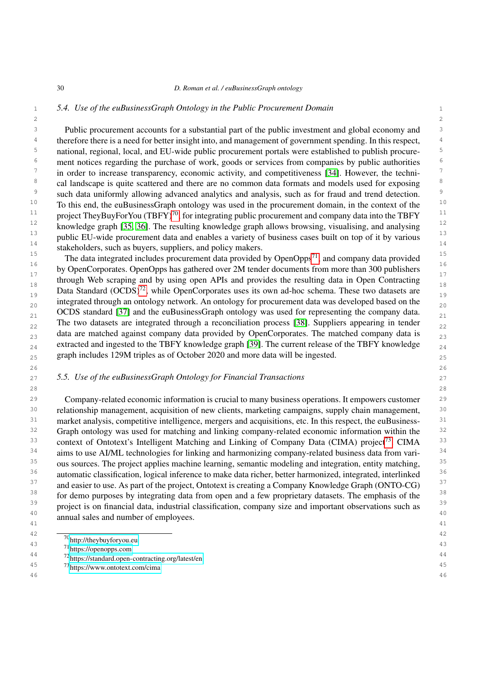## 1 1 *5.4. Use of the euBusinessGraph Ontology in the Public Procurement Domain*

<span id="page-29-0"></span> $2 \times 2$ 

<sup>3</sup> Public procurement accounts for a substantial part of the public investment and global economy and <sup>3</sup> <sup>4</sup> therefore there is a need for better insight into, and management of government spending. In this respect, <sup>5</sup> national, regional, local, and EU-wide public procurement portals were established to publish procure-<br><sup>5</sup> <sup>6</sup> ment notices regarding the purchase of work, goods or services from companies by public authorities <sup>6</sup>  $\frac{7}{10}$  in order to increase transparency, economic activity, and competitiveness [\[34\]](#page-32-14). However, the techni- $\frac{7}{10}$ <sup>8</sup> cal landscape is quite scattered and there are no common data formats and models used for exposing <sup>8</sup> <sup>9</sup> such data uniformly allowing advanced analytics and analysis, such as for fraud and trend detection.  $10$  To this end, the euBusinessGraph ontology was used in the procurement domain, in the context of the  $10$ <sup>11</sup> project TheyBuyForYou (TBFY)<sup>[70](#page-29-2)</sup>, for integrating public procurement and company data into the TBFY <sup>11</sup> <sup>12</sup> knowledge graph [\[35,](#page-32-15) [36\]](#page-32-16). The resulting knowledge graph allows browsing, visualising, and analysing <sup>12</sup> <sup>13</sup> public EU-wide procurement data and enables a variety of business cases built on top of it by various<sup>13</sup>  $\frac{14}{14}$  stakeholders, such as buyers, suppliers, and policy makers.

15 15 The data integrated includes procurement data provided by OpenOpps[71](#page-29-3), and company data provided  $\frac{16}{16}$  16  $\frac{160}{160}$  11.1 <sup>17</sup> by OpenCorporates. OpenOpps has gathered over 2M tender documents from more than 300 publishers  $\frac{17}{17}$ through Web scraping and by using open APIs and provides the resulting data in Open Contracting  $\frac{18}{18}$ Data Standard  $(OCDS)^{72}$  $(OCDS)^{72}$  $(OCDS)^{72}$ , while OpenCorporates uses its own ad-hoc schema. These two datasets are  $\frac{19}{19}$ 20 integrated through an ontology network. An ontology for procurement data was developed based on the  $\frac{20}{20}$  $_{21}$  OCDS standard [\[37\]](#page-32-17) and the euBusinessGraph ontology was used for representing the company data.  $_{22}$  The two datasets are integrated through a reconciliation process [\[38\]](#page-32-18). Suppliers appearing in tender  $_{22}$  $_{23}$  data are matched against company data provided by OpenCorporates. The matched company data is  $_{23}$  $_{24}$  extracted and ingested to the TBFY knowledge graph [\[39\]](#page-33-0). The current release of the TBFY knowledge  $_{24}$ <sub>25</sub> graph includes 129M triples as of October 2020 and more data will be ingested.

 $26$  26

 $28$  28

## <span id="page-29-1"></span>27 27 *5.5. Use of the euBusinessGraph Ontology for Financial Transactions*

29 29 Company-related economic information is crucial to many business operations. It empowers customer <sup>30</sup> relationship management, acquisition of new clients, marketing campaigns, supply chain management, <sup>30</sup> 31 market analysis, competitive intelligence, mergers and acquisitions, etc. In this respect, the euBusiness-<br>31 <sup>32</sup> Graph ontology was used for matching and linking company-related economic information within the <sup>32</sup> 33 context of Ontotext's Intelligent Matching and Linking of Company Data (CIMA) project<sup>[73](#page-29-5)</sup>. CIMA <sup>33</sup> <sup>34</sup> aims to use AI/ML technologies for linking and harmonizing company-related business data from vari-<sup>34</sup> <sup>35</sup> ous sources. The project applies machine learning, semantic modeling and integration, entity matching, <sup>35</sup> <sup>36</sup> automatic classification, logical inference to make data richer, better harmonized, integrated, interlinked<sup>36</sup> <sup>37</sup> and easier to use. As part of the project, Ontotext is creating a Company Knowledge Graph (ONTO-CG)<sup>37</sup> <sup>38</sup> for demo purposes by integrating data from open and a few proprietary datasets. The emphasis of the <sup>38</sup> <sup>39</sup> project is on financial data, industrial classification, company size and important observations such as <sup>39</sup> 40 annual sales and number of employees. 41  $\frac{1}{4}$ 

 $\frac{42}{20}$   $\frac{42}{20}$ 

 $\frac{1}{43}$   $\frac{1}{21}$   $\frac{1}{43}$   $\frac{1}{21}$   $\frac{1}{43}$   $\frac{1}{43}$   $\frac{1}{43}$   $\frac{1}{43}$   $\frac{1}{43}$   $\frac{1}{43}$   $\frac{1}{43}$   $\frac{1}{43}$   $\frac{1}{43}$   $\frac{1}{43}$   $\frac{1}{43}$   $\frac{1}{43}$   $\frac{1}{43}$   $\frac{1}{43}$   $\frac{1}{43}$   $\frac{1}{43}$  <sup>70</sup><http://theybuyforyou.eu>

<span id="page-29-5"></span><span id="page-29-4"></span><span id="page-29-3"></span><span id="page-29-2"></span><sup>71</sup><https://openopps.com>

<sup>44</sup> 44 <sup>72</sup><https://standard.open-contracting.org/latest/en>

<sup>45</sup> 45 <sup>73</sup><https://www.ontotext.com/cima>46 46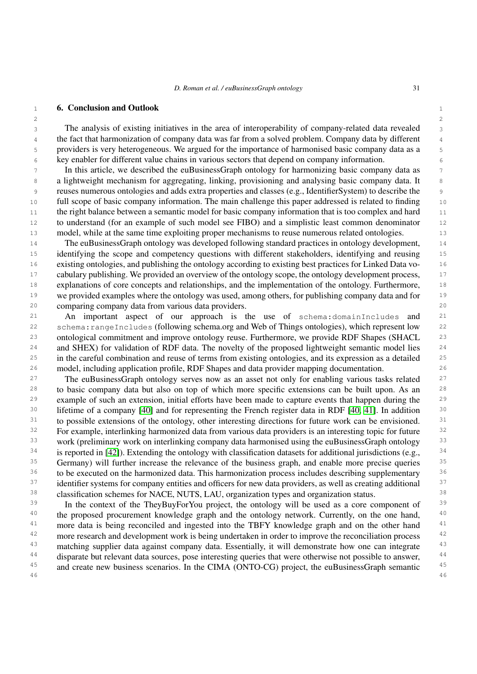$2 \times 2$ 

## <span id="page-30-0"></span>1 1 6. Conclusion and Outlook

 3 The analysis of existing initiatives in the area of interoperability of company-related data revealed <sup>4</sup> the fact that harmonization of company data was far from a solved problem. Company data by different <sup>4</sup> 5 providers is very heterogeneous. We argued for the importance of harmonised basic company data as a 6 key enabler for different value chains in various sectors that depend on company information.

**In this article, we described the euBusinessGraph ontology for harmonizing basic company data as**  8 a lightweight mechanism for aggregating, linking, provisioning and analysing basic company data. It 9 reuses numerous ontologies and adds extra properties and classes (e.g., IdentifierSystem) to describe the 10 full scope of basic company information. The main challenge this paper addressed is related to finding 11 the right balance between a semantic model for basic company information that is too complex and hard 11 12 to understand (for an example of such model see FIBO) and a simplistic least common denominator 13 model, while at the same time exploiting proper mechanisms to reuse numerous related ontologies.

 14 The euBusinessGraph ontology was developed following standard practices in ontology development, 15 identifying the scope and competency questions with different stakeholders, identifying and reusing 16 existing ontologies, and publishing the ontology according to existing best practices for Linked Data vo-<sup>17</sup> cabulary publishing. We provided an overview of the ontology scope, the ontology development process, <sup>17</sup> 18 explanations of core concepts and relationships, and the implementation of the ontology. Furthermore, 18 19 we provided examples where the ontology was used, among others, for publishing company data and for 20 comparing company data from various data providers.

**An important aspect of our approach is the use of schema: domainIncludes and** 21 22 schema:rangeIncludes (following schema.org and Web of Things ontologies), which represent low 23 ontological commitment and improve ontology reuse. Furthermore, we provide RDF Shapes (SHACL 23 <sup>24</sup> and SHEX) for validation of RDF data. The novelty of the proposed lightweight semantic model lies<sup>24</sup> 25 in the careful combination and reuse of terms from existing ontologies, and its expression as a detailed 26 model, including application profile, RDF Shapes and data provider mapping documentation.

<sup>27</sup> The euBusinessGraph ontology serves now as an asset not only for enabling various tasks related <sup>27</sup> <sup>28</sup> to basic company data but also on top of which more specific extensions can be built upon. As an <sup>28</sup> <sup>29</sup> example of such an extension, initial efforts have been made to capture events that happen during the <sup>29</sup> <sup>30</sup> lifetime of a company [\[40\]](#page-33-1) and for representing the French register data in RDF [\[40,](#page-33-1) [41\]](#page-33-2). In addition <sup>30</sup> <sup>31</sup> to possible extensions of the ontology, other interesting directions for future work can be envisioned. <sup>31</sup> <sup>32</sup> For example, interlinking harmonized data from various data providers is an interesting topic for future<sup>32</sup> <sup>33</sup> work (preliminary work on interlinking company data harmonised using the euBusinessGraph ontology <sup>33</sup> <sup>34</sup> is reported in [\[42\]](#page-33-3)). Extending the ontology with classification datasets for additional jurisdictions (e.g., <sup>34</sup> <sup>35</sup> Germany) will further increase the relevance of the business graph, and enable more precise queries<sup>35</sup> <sup>36</sup> to be executed on the harmonized data. This harmonization process includes describing supplementary <sup>36</sup> <sup>37</sup> identifier systems for company entities and officers for new data providers, as well as creating additional<sup>37</sup> 38 38 classification schemes for NACE, NUTS, LAU, organization types and organization status.

<sup>39</sup> In the context of the TheyBuyForYou project, the ontology will be used as a core component of <sup>39</sup> <sup>40</sup> the proposed procurement knowledge graph and the ontology network. Currently, on the one hand, <sup>40</sup> <sup>41</sup> more data is being reconciled and ingested into the TBFY knowledge graph and on the other hand <sup>41</sup> <sup>42</sup> more research and development work is being undertaken in order to improve the reconciliation process <sup>42</sup> <sup>43</sup> matching supplier data against company data. Essentially, it will demonstrate how one can integrate <sup>43</sup> <sup>44</sup> disparate but relevant data sources, pose interesting queries that were otherwise not possible to answer, <sup>44</sup> <sup>45</sup> and create new business scenarios. In the CIMA (ONTO-CG) project, the euBusinessGraph semantic <sup>45</sup> 46 46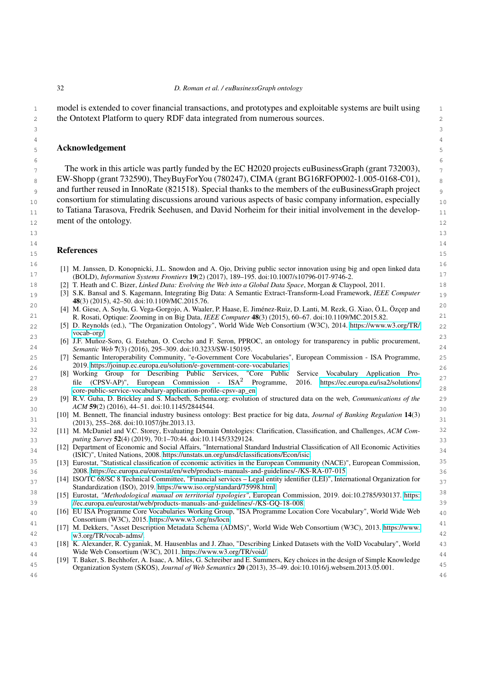3 4

1 model is extended to cover financial transactions, and prototypes and exploitable systems are built using 1 2 the Ontotext Platform to query RDF data integrated from numerous sources.

## 5 Acknowledgement

 $_{7}$  The work in this article was partly funded by the EC H2020 projects euBusinessGraph (grant 732003),  $_{7}$  $_{8}$  EW-Shopp (grant 732590), TheyBuyForYou (780247), CIMA (grant BG16RFOP002-1.005-0168-C01),  $_{8}$ <sup>9</sup> and further reused in InnoRate (821518). Special thanks to the members of the euBusinessGraph project <sub>10</sub> consortium for stimulating discussions around various aspects of basic company information, especially <sub>10</sub>  $_{11}$  to Tatiana Tarasova, Fredrik Seehusen, and David Norheim for their initial involvement in the develop-12 ment of the ontology.

13

#### Neterchets  $15$ References

- <span id="page-31-0"></span> 16 [1] M. Janssen, D. Konopnicki, J.L. Snowdon and A. Ojo, Driving public sector innovation using big and open linked data 17 (BOLD), *Information Systems Frontiers* 19(2) (2017), 189–195. doi:10.1007/s10796-017-9746-2.
- <span id="page-31-1"></span>18 [2] T. Heath and C. Bizer, *Linked Data: Evolving the Web into a Global Data Space*, Morgan & Claypool, 2011.
- <span id="page-31-2"></span> 19 [3] S.K. Bansal and S. Kagemann, Integrating Big Data: A Semantic Extract-Transform-Load Framework, *IEEE Computer* (3) (2015), 42–50. doi:10.1109/MC.2015.76.
- <span id="page-31-3"></span> 20 [4] M. Giese, A. Soylu, G. Vega-Gorgojo, A. Waaler, P. Haase, E. Jiménez-Ruiz, D. Lanti, M. Rezk, G. Xiao, Ö.L. Özçep and 21 R. Rosati, Optique: Zooming in on Big Data, *IEEE Computer* 48(3) (2015), 60–67. doi:10.1109/MC.2015.82.
- <span id="page-31-4"></span> 22 [5] D. Reynolds (ed.), "The Organization Ontology", World Wide Web Consortium (W3C), 2014. [https://www.w3.org/TR/](https://www.w3.org/TR/vocab-org/) [vocab-org/.](https://www.w3.org/TR/vocab-org/)
- <span id="page-31-5"></span> 23 [6] J.F. Muñoz-Soro, G. Esteban, O. Corcho and F. Seron, PPROC, an ontology for transparency in public procurement, 24 *Semantic Web* 7(3) (2016), 295–309. doi:10.3233/SW-150195.
- <span id="page-31-6"></span> 25 [7] Semantic Interoperability Community, "e-Government Core Vocabularies", European Commission - ISA Programme, 26 2019. [https://joinup.ec.europa.eu/solution/e-government-core-vocabularies.](https://joinup.ec.europa.eu/solution/e-government-core- vocabularies)
- <span id="page-31-7"></span><sup>27</sup> file (CPSV-AP)", European Commission - ISA<sup>2</sup> Programme, 2016. https://ec.europa.eu/isa2/solutions/<sup>27</sup> 28 [core-public-service-vocabulary-application-profile-cpsv-ap\\_en.](https://ec.europa.eu/isa2/solutions/core-public-service- vocabulary-application-profile-cpsv-ap_en) [8] Working Group for Describing Public Services, "Core Public Service Vocabulary Application Pro-Programme, 2016. [https://ec.europa.eu/isa2/solutions/](https://ec.europa.eu/isa2/solutions/core-public-service- vocabulary-application-profile-cpsv-ap_en)
- <span id="page-31-8"></span> 29 [9] R.V. Guha, D. Brickley and S. Macbeth, Schema.org: evolution of structured data on the web, *Communications of the*  $ACM$   $59(2)(2010)$ ,  $44-51$ ,  $001(10,1145/2844344)$ *ACM* 59(2) (2016), 44–51. doi:10.1145/2844544.
- <span id="page-31-9"></span> 31 [10] M. Bennett, The financial industry business ontology: Best practice for big data, *Journal of Banking Regulation* 14(3) (2013), 255–268. doi:10.1057/jbr.2013.13.
- <span id="page-31-10"></span> 32 [11] M. McDaniel and V.C. Storey, Evaluating Domain Ontologies: Clarification, Classification, and Challenges, *ACM Com-*33 *puting Survey* 52(4) (2019), 70:1–70:44. doi:10.1145/3329124.
- <span id="page-31-11"></span><sup>34</sup> [12] Department of Economic and Social Affairs, "International Standard Industrial Classification of All Economic Activities<sup>34</sup> (ISIC)", United Nations, 2008. [https://unstats.un.org/unsd/classifications/Econ/isic.](https://unstats.un.org/unsd/classifications/Econ/isic)
- <span id="page-31-12"></span><sup>35</sup> [13] Eurostat, "Statistical classification of economic activities in the European Community (NACE)", European Commission,<sup>35</sup> 36 2008. [https://ec.europa.eu/eurostat/en/web/products-manuals-and-guidelines/-/KS-RA-07-015.](https://ec.europa.eu/eurostat/en/web/products-manuals-and- guidelines/-/KS-RA-07-015)
- <span id="page-31-13"></span><sup>37</sup> [14] ISO/TC 68/SC 8 Technical Committee, "Financial services – Legal entity identifier (LEI)", International Organization for Standardization (ISO), 2019. [https://www.iso.org/standard/75998.html.](https://www.iso.org/standard/75998.html)
- <span id="page-31-14"></span> 38 [15] Eurostat, *"Methodological manual on territorial typologies"*, European Commission, 2019. doi:10.2785/930137. [https:](https://ec.europa.eu/eurostat/web/products-manuals-and- guidelines/-/KS-GQ-18-008) 39 [//ec.europa.eu/eurostat/web/products-manuals-and-guidelines/-/KS-GQ-18-008.](https://ec.europa.eu/eurostat/web/products-manuals-and- guidelines/-/KS-GQ-18-008)
- <span id="page-31-15"></span> 40 [16] EU ISA Programme Core Vocabularies Working Group, "ISA Programme Location Core Vocabulary", World Wide Web Consortium (W3C), 2015. [https://www.w3.org/ns/locn.](https://www.w3.org/ns/locn)
- <span id="page-31-16"></span> 41 [17] M. Dekkers, "Asset Description Metadata Schema (ADMS)", World Wide Web Consortium (W3C), 2013. [https://www.](https://www.w3.org/TR/vocab-adms/) 42 [w3.org/TR/vocab-adms/.](https://www.w3.org/TR/vocab-adms/)
- <span id="page-31-17"></span> 43 [18] K. Alexander, R. Cyganiak, M. Hausenblas and J. Zhao, "Describing Linked Datasets with the VoID Vocabulary", World 44 Wide Web Consortium (W3C), 2011. [https://www.w3.org/TR/void/.](https://www.w3.org/TR/void/)
- <span id="page-31-18"></span> 45 Organization System (SKOS), *Journal of Web Semantics* 20 (2013), 35–49. doi:10.1016/j.websem.2013.05.001. 46 [19] T. Baker, S. Bechhofer, A. Isaac, A. Miles, G. Schreiber and E. Summers, Key choices in the design of Simple Knowledge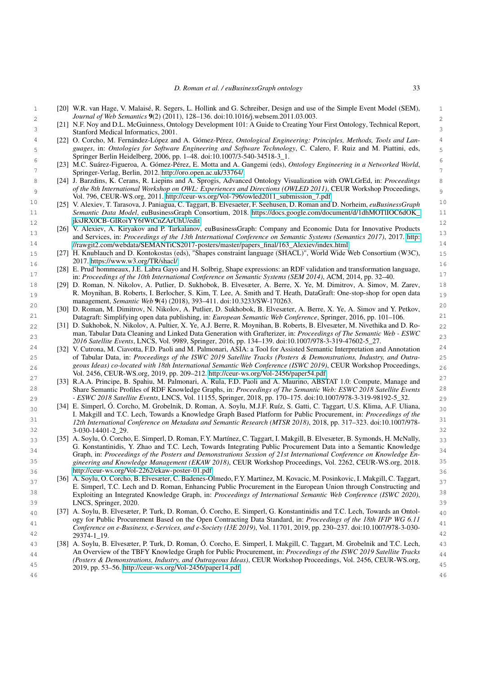- <span id="page-32-0"></span> 1 [20] W.R. van Hage, V. Malaisé, R. Segers, L. Hollink and G. Schreiber, Design and use of the Simple Event Model (SEM), 2 *Journal of Web Semantics* 9(2) (2011), 128–136. doi:10.1016/j.websem.2011.03.003.
- <span id="page-32-1"></span>[21] N.F. Noy and D.L. McGuinness, Ontology Development 101: A Guide to Creating Your First Ontology, Technical Report, Stanford Medical Informatics, 2001.
- <span id="page-32-2"></span> 4 [22] O. Corcho, M. Fernández-López and A. Gómez-Pérez, *Ontological Engineering: Principles, Methods, Tools and Lan-* 5 *guages*, in: *Ontologies for Software Engineering and Software Technology*, C. Calero, F. Ruiz and M. Piattini, eds, Springer Berlin Heidelberg, 2006, pp. 1–48. doi:10.1007/3-540-34518-3\_1.
- <span id="page-32-3"></span> 6 [23] M.C. Suárez-Figueroa, A. Gómez-Pérez, E. Motta and A. Gangemi (eds), *Ontology Engineering in a Networked World*, 7 Springer-Verlag, Berlin, 2012. [http://oro.open.ac.uk/33764/.](http://oro.open.ac.uk/33764/)
- <span id="page-32-4"></span> 8 [24] J. Barzdins, K. Cerans, R. Liepins and A. Sprogis, Advanced Ontology Visualization with OWLGrEd, in: *Proceedings* 9 *of the 8th International Workshop on OWL: Experiences and Directions (OWLED 2011)*, CEUR Workshop Proceedings, Vol. 796, CEUR-WS.org, 2011. [http://ceur-ws.org/Vol-796/owled2011\\_submission\\_7.pdf.](http://ceur-ws.org/Vol-796/owled2011_submission_7.pdf)
- <span id="page-32-5"></span> 10 [25] V. Alexiev, T. Tarasova, J. Paniagua, C. Taggart, B. Elvesaeter, F. Seehusen, D. Roman and D. Norheim, *euBusinessGraph* 11 *Semantic Data Model*, euBusinessGraph Consortium, 2018. [https://docs.google.com/document/d/1dhMOTlIOC6dOK\\_](https://docs.google.com/document/d/1dhMOTlIOC6dOK_jksJRX0CB-GIRoiYY6fWtCnZArUhU/edit) 12 [jksJRX0CB-GIRoiYY6fWtCnZArUhU/edit.](https://docs.google.com/document/d/1dhMOTlIOC6dOK_jksJRX0CB-GIRoiYY6fWtCnZArUhU/edit)
- <span id="page-32-6"></span>13 13 13 and Services, in: *Proceedings of the 13th International Conference on Semantic Systems (Semantics 2017)*, 2017. [http:](http://rawgit2.com/webdata/SEMANTiCS2017-posters/master/papers_final/163_Alexiev/index.html) 14 [//rawgit2.com/webdata/SEMANTiCS2017-posters/master/papers\\_final/163\\_Alexiev/index.html.](http://rawgit2.com/webdata/SEMANTiCS2017-posters/master/papers_final/163_Alexiev/index.html) [26] V. Alexiev, A. Kiryakov and P. Tarkalanov, euBusinessGraph: Company and Economic Data for Innovative Products
- <span id="page-32-7"></span> 15 [27] H. Knublauch and D. Kontokostas (eds), "Shapes constraint language (SHACL)", World Wide Web Consortium (W3C), 2017. [https://www.w3.org/TR/shacl/.](https://www.w3.org/TR/shacl/)
- <span id="page-32-8"></span> 16 [28] E. Prud'hommeaux, J.E. Labra Gayo and H. Solbrig, Shape expressions: an RDF validation and transformation language, 17 in: *Proceedings of the 10th International Conference on Semantic Systems (SEM 2014)*, ACM, 2014, pp. 32–40.
- <span id="page-32-9"></span> 18 [29] D. Roman, N. Nikolov, A. Putlier, D. Sukhobok, B. Elvesæter, A. Berre, X. Ye, M. Dimitrov, A. Simov, M. Zarev, 19 R. Moynihan, B. Roberts, I. Berlocher, S. Kim, T. Lee, A. Smith and T. Heath, DataGraft: One-stop-shop for open data 19 management, *Semantic Web* 9(4) (2018), 393–411. doi:10.3233/SW-170263.
- <span id="page-32-10"></span><sup>20</sup> [30] D. Roman, M. Dimitrov, N. Nikolov, A. Putlier, D. Sukhobok, B. Elvesæter, A. Berre, X. Ye, A. Simov and Y. Petkov, 21 Datagraft: Simplifying open data publishing, in: *European Semantic Web Conference*, Springer, 2016, pp. 101–106.
- <span id="page-32-11"></span> 22 [31] D. Sukhobok, N. Nikolov, A. Pultier, X. Ye, A.J. Berre, R. Moynihan, B. Roberts, B. Elvesæter, M. Nivethika and D. Ro- 23 man, Tabular Data Cleaning and Linked Data Generation with Grafterizer, in: *Proceedings of The Semantic Web - ESWC 2016 Satellite Events*, LNCS, Vol. 9989, Springer, 2016, pp. 134–139. doi:10.1007/978-3-319-47602-5\_27.
- <span id="page-32-12"></span><sup>24</sup> [32] V. Cutrona, M. Ciavotta, F.D. Paoli and M. Palmonari, ASIA: a Tool for Assisted Semantic Interpretation and Annotation<sup>24</sup> 25 of Tabular Data, in: *Proceedings of the ISWC 2019 Satellite Tracks (Posters & Demonstrations, Industry, and Outra-* 26 *geous Ideas) co-located with 18th International Semantic Web Conference (ISWC 2019)*, CEUR Workshop Proceedings, Vol. 2456, CEUR-WS.org, 2019, pp. 209–212. [http://ceur-ws.org/Vol-2456/paper54.pdf.](http://ceur-ws.org/Vol-2456/paper54.pdf)
- <span id="page-32-13"></span><sup>27</sup> [33] R.A.A. Principe, B. Spahiu, M. Palmonari, A. Rula, F.D. Paoli and A. Maurino, ABSTAT 1.0: Compute, Manage and <sup>27</sup> 28 Share Semantic Profiles of RDF Knowledge Graphs, in: *Proceedings of The Semantic Web: ESWC 2018 Satellite Events* 29 *- ESWC 2018 Satellite Events*, LNCS, Vol. 11155, Springer, 2018, pp. 170–175. doi:10.1007/978-3-319-98192-5\_32.
- <span id="page-32-14"></span> 30 [34] E. Simperl, Ó. Corcho, M. Grobelnik, D. Roman, A. Soylu, M.J.F. Ruíz, S. Gatti, C. Taggart, U.S. Klima, A.F. Uliana, 31 *12th International Conference on Metadata and Semantic Research (MTSR 2018)*, 2018, pp. 317–323. doi:10.1007/978- 32 3-030-14401-2\_29. I. Makgill and T.C. Lech, Towards a Knowledge Graph Based Platform for Public Procurement, in: *Proceedings of the*
- <span id="page-32-15"></span>33 [35] A. Soylu, O. Corcho, E. Simperl, D. Roman, F.Y. Martínez, C. Taggart, I. Makgill, B. Elvesæter, B. Symonds, H. McNally, 33 34 Graph, in: *Proceedings of the Posters and Demonstrations Session of 21st International Conference on Knowledge En-* 35 *gineering and Knowledge Management (EKAW 2018)*, CEUR Workshop Proceedings, Vol. 2262, CEUR-WS.org, 2018. 36 [http://ceur-ws.org/Vol-2262/ekaw-poster-01.pdf.](http://ceur-ws.org/Vol-2262/ekaw-poster-01.pdf) G. Konstantinidis, Y. Zhao and T.C. Lech, Towards Integrating Public Procurement Data into a Semantic Knowledge
- <span id="page-32-16"></span> 37 [36] A. Soylu, O. Corcho, B. Elvesæter, C. Badenes-Olmedo, F.Y. Martinez, M. Kovacic, M. Posinkovic, I. Makgill, C. Taggart, 38 Exploiting an Integrated Knowledge Graph, in: *Proceedings of International Semantic Web Conference (ISWC 2020)*, 39 LNCS, Springer, 2020. E. Simperl, T.C. Lech and D. Roman, Enhancing Public Procurement in the European Union through Constructing and
- <span id="page-32-17"></span> 40 [37] A. Soylu, B. Elvesæter, P. Turk, D. Roman, Ó. Corcho, E. Simperl, G. Konstantinidis and T.C. Lech, Towards an Ontology for Public Procurement Based on the Open Contracting Data Standard, in: *Proceedings of the 18th IFIP WG 6.11*<br>Contracting Data Standard, in: *Proceedings of the 18th IFIP WG 6.11* <sup>41</sup> *Conference on e-Business, e-Services, and e-Society (I3E 2019)*, Vol. 11701, 2019, pp. 230–237. doi:10.1007/978-3-030-<br>42 29374-1\_19.
- <span id="page-32-18"></span> 43 [38] A. Soylu, B. Elvesæter, P. Turk, D. Roman, Ó. Corcho, E. Simperl, I. Makgill, C. Taggart, M. Grobelnik and T.C. Lech, 44 An Overview of the TBFY Knowledge Graph for Public Procurement, in: *Proceedings of the ISWC 2019 Satellite Tracks* 45 2019, pp. 53–56. [http://ceur-ws.org/Vol-2456/paper14.pdf.](http://ceur-ws.org/Vol-2456/paper14.pdf)*(Posters & Demonstrations, Industry, and Outrageous Ideas)*, CEUR Workshop Proceedings, Vol. 2456, CEUR-WS.org,
- 46